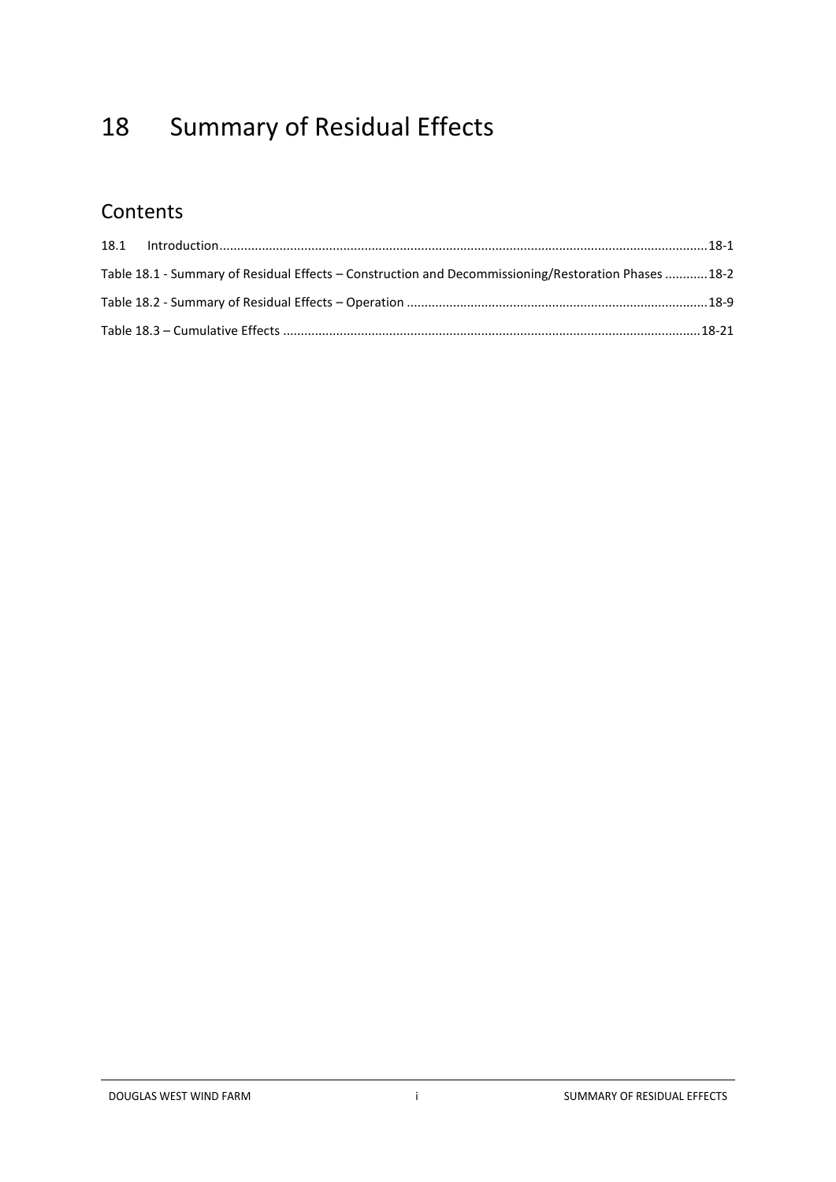# 18 Summary of Residual Effects

## **Contents**

| Table 18.1 - Summary of Residual Effects - Construction and Decommissioning/Restoration Phases 18-2 |  |
|-----------------------------------------------------------------------------------------------------|--|
|                                                                                                     |  |
|                                                                                                     |  |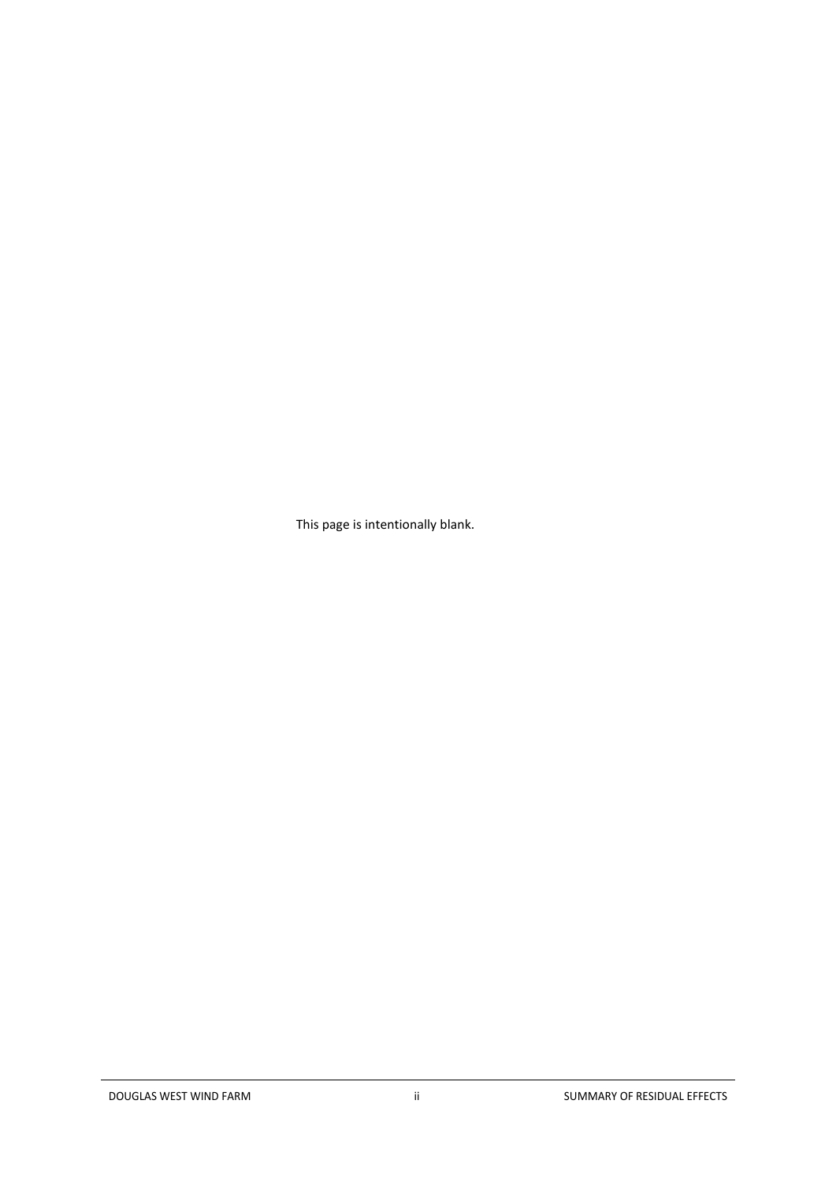This page is intentionally blank.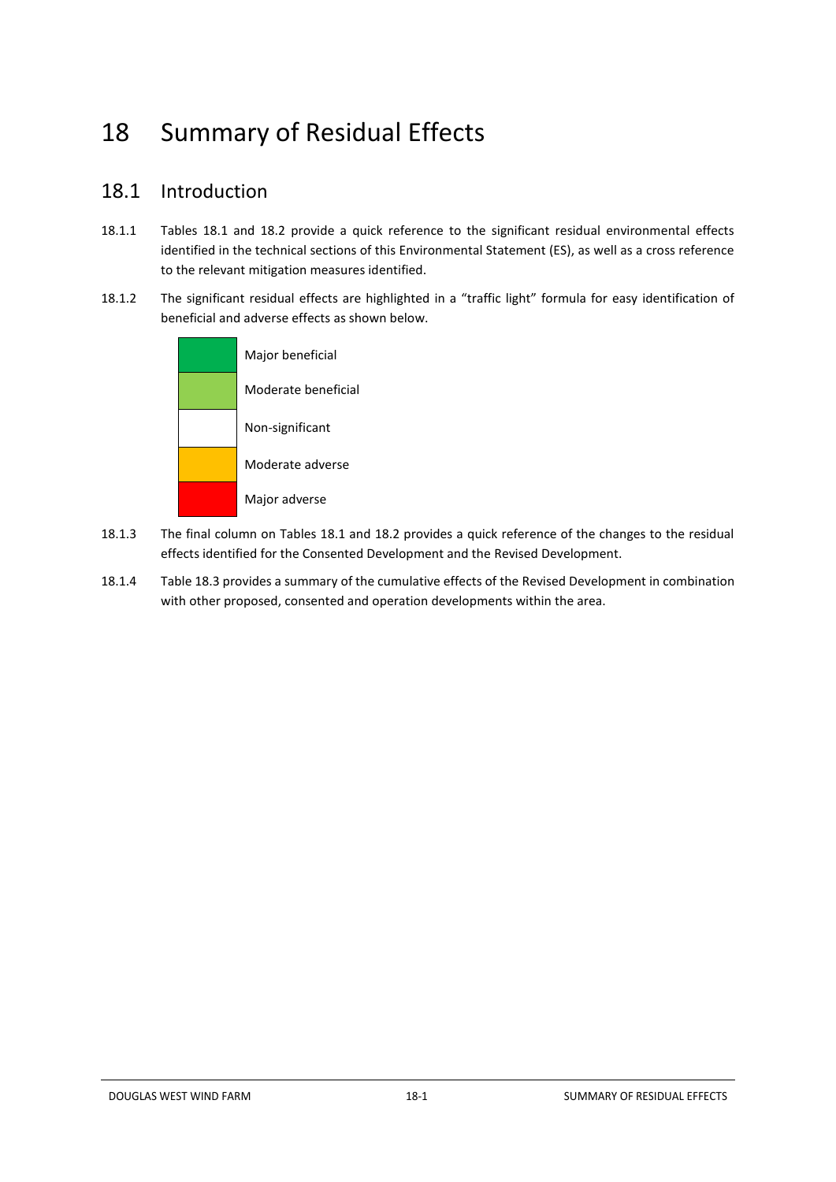## 18 Summary of Residual Effects

## <span id="page-2-0"></span>18.1 Introduction

- 18.1.1 Tables 18.1 and 18.2 provide a quick reference to the significant residual environmental effects identified in the technical sections of this Environmental Statement (ES), as well as a cross reference to the relevant mitigation measures identified.
- 18.1.2 The significant residual effects are highlighted in a "traffic light" formula for easy identification of beneficial and adverse effects as shown below.



- 18.1.3 The final column on Tables 18.1 and 18.2 provides a quick reference of the changes to the residual effects identified for the Consented Development and the Revised Development.
- 18.1.4 Table 18.3 provides a summary of the cumulative effects of the Revised Development in combination with other proposed, consented and operation developments within the area.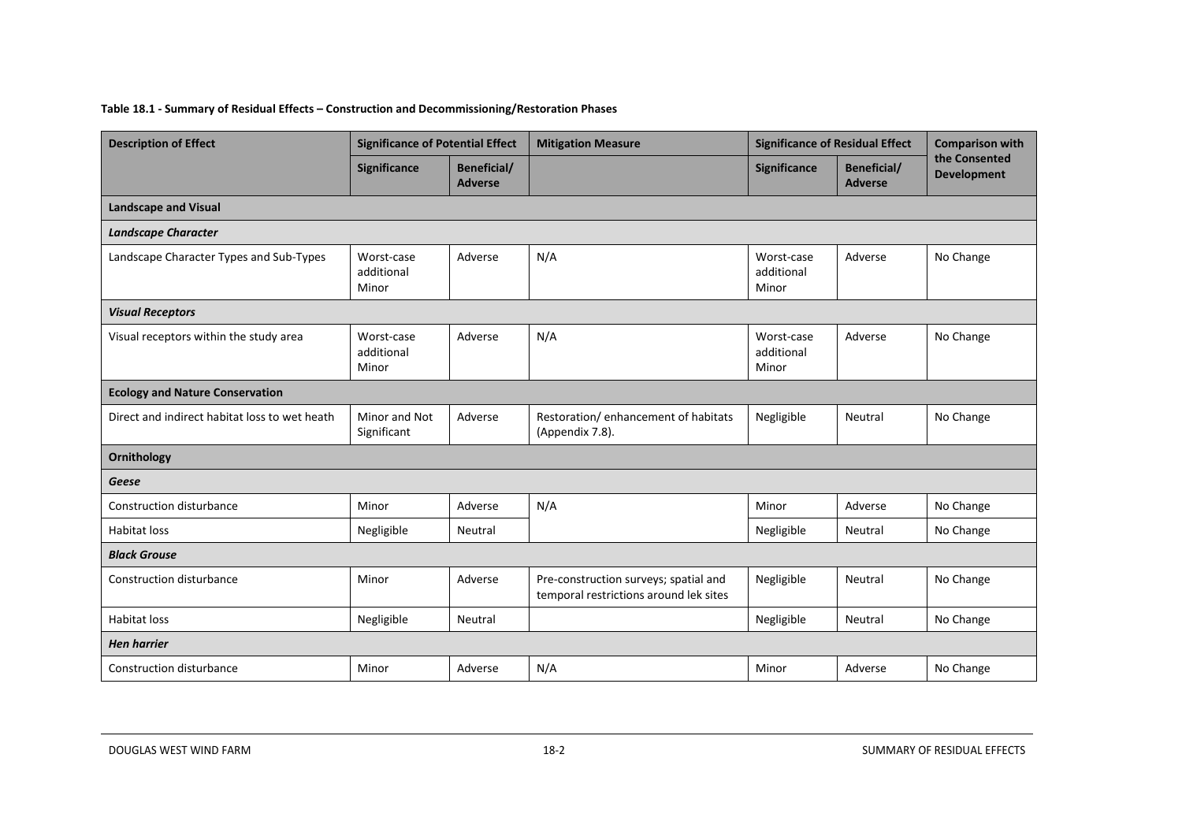### **Table 18.1 - Summary of Residual Effects – Construction and Decommissioning/Restoration Phases**

<span id="page-3-0"></span>

| <b>Description of Effect</b>                  | <b>Significance of Potential Effect</b> |                               | <b>Mitigation Measure</b>                                                       | <b>Significance of Residual Effect</b> |                                      | <b>Comparison with</b>              |
|-----------------------------------------------|-----------------------------------------|-------------------------------|---------------------------------------------------------------------------------|----------------------------------------|--------------------------------------|-------------------------------------|
|                                               | Significance                            | Beneficial/<br><b>Adverse</b> |                                                                                 | Significance                           | <b>Beneficial/</b><br><b>Adverse</b> | the Consented<br><b>Development</b> |
| <b>Landscape and Visual</b>                   |                                         |                               |                                                                                 |                                        |                                      |                                     |
| <b>Landscape Character</b>                    |                                         |                               |                                                                                 |                                        |                                      |                                     |
| Landscape Character Types and Sub-Types       | Worst-case<br>additional<br>Minor       | Adverse                       | N/A                                                                             | Worst-case<br>additional<br>Minor      | Adverse                              | No Change                           |
| <b>Visual Receptors</b>                       |                                         |                               |                                                                                 |                                        |                                      |                                     |
| Visual receptors within the study area        | Worst-case<br>additional<br>Minor       | Adverse                       | N/A                                                                             | Worst-case<br>additional<br>Minor      | Adverse                              | No Change                           |
| <b>Ecology and Nature Conservation</b>        |                                         |                               |                                                                                 |                                        |                                      |                                     |
| Direct and indirect habitat loss to wet heath | Minor and Not<br>Significant            | Adverse                       | Restoration/enhancement of habitats<br>(Appendix 7.8).                          | Negligible                             | Neutral                              | No Change                           |
| <b>Ornithology</b>                            |                                         |                               |                                                                                 |                                        |                                      |                                     |
| Geese                                         |                                         |                               |                                                                                 |                                        |                                      |                                     |
| Construction disturbance                      | Minor                                   | Adverse                       | N/A                                                                             | Minor                                  | Adverse                              | No Change                           |
| Habitat loss                                  | Negligible                              | Neutral                       |                                                                                 | Negligible                             | Neutral                              | No Change                           |
| <b>Black Grouse</b>                           |                                         |                               |                                                                                 |                                        |                                      |                                     |
| Construction disturbance                      | Minor                                   | Adverse                       | Pre-construction surveys; spatial and<br>temporal restrictions around lek sites | Negligible                             | Neutral                              | No Change                           |
| Habitat loss                                  | Negligible                              | Neutral                       |                                                                                 | Negligible                             | Neutral                              | No Change                           |
| <b>Hen harrier</b>                            |                                         |                               |                                                                                 |                                        |                                      |                                     |
| Construction disturbance                      | Minor                                   | Adverse                       | N/A                                                                             | Minor                                  | Adverse                              | No Change                           |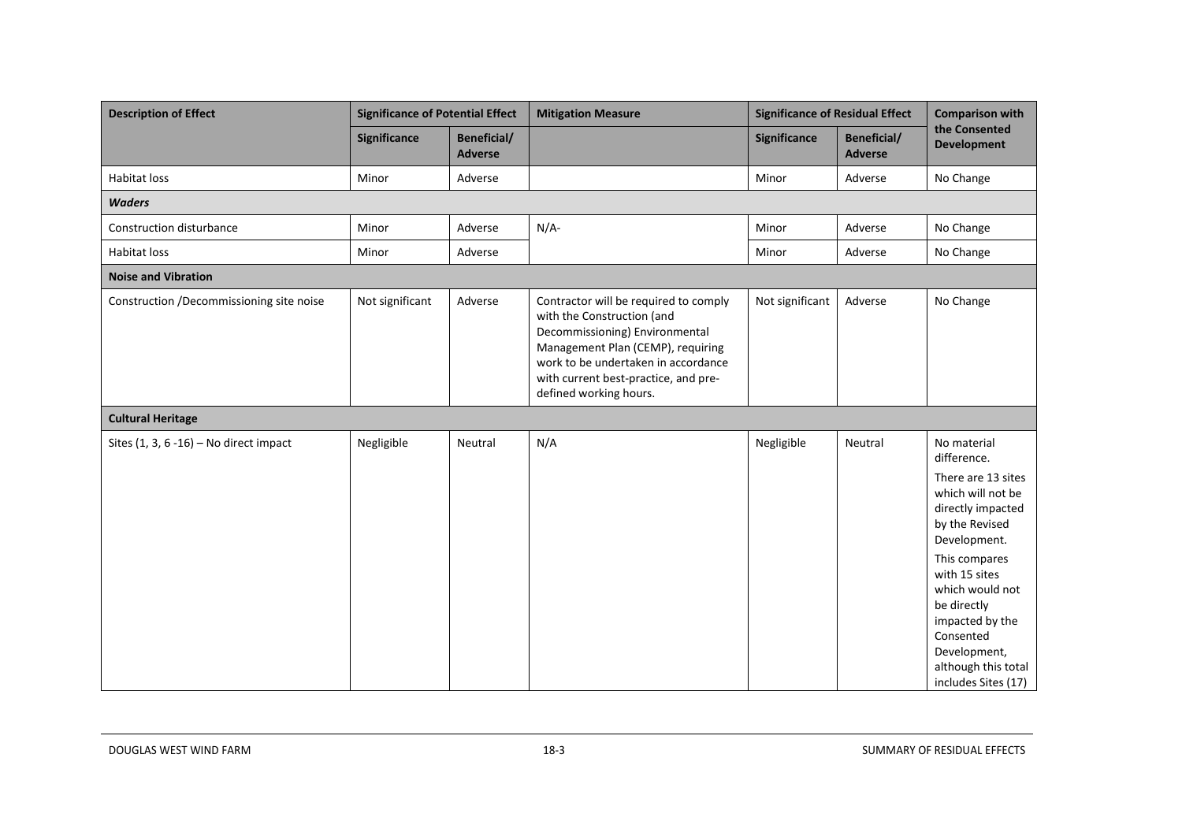| <b>Description of Effect</b>             | <b>Significance of Potential Effect</b> |                               | <b>Mitigation Measure</b>                                                                                                                                                                                                                           | <b>Significance of Residual Effect</b> |                               | <b>Comparison with</b>                                                                                                                                                                                                                                                                         |
|------------------------------------------|-----------------------------------------|-------------------------------|-----------------------------------------------------------------------------------------------------------------------------------------------------------------------------------------------------------------------------------------------------|----------------------------------------|-------------------------------|------------------------------------------------------------------------------------------------------------------------------------------------------------------------------------------------------------------------------------------------------------------------------------------------|
|                                          | <b>Significance</b>                     | Beneficial/<br><b>Adverse</b> |                                                                                                                                                                                                                                                     | Significance                           | Beneficial/<br><b>Adverse</b> | the Consented<br><b>Development</b>                                                                                                                                                                                                                                                            |
| Habitat loss                             | Minor                                   | Adverse                       |                                                                                                                                                                                                                                                     | Minor                                  | Adverse                       | No Change                                                                                                                                                                                                                                                                                      |
| <b>Waders</b>                            |                                         |                               |                                                                                                                                                                                                                                                     |                                        |                               |                                                                                                                                                                                                                                                                                                |
| Construction disturbance                 | Minor                                   | Adverse                       | $N/A-$                                                                                                                                                                                                                                              | Minor                                  | Adverse                       | No Change                                                                                                                                                                                                                                                                                      |
| Habitat loss                             | Minor                                   | Adverse                       |                                                                                                                                                                                                                                                     | Minor                                  | Adverse                       | No Change                                                                                                                                                                                                                                                                                      |
| <b>Noise and Vibration</b>               |                                         |                               |                                                                                                                                                                                                                                                     |                                        |                               |                                                                                                                                                                                                                                                                                                |
| Construction /Decommissioning site noise | Not significant                         | Adverse                       | Contractor will be required to comply<br>with the Construction (and<br>Decommissioning) Environmental<br>Management Plan (CEMP), requiring<br>work to be undertaken in accordance<br>with current best-practice, and pre-<br>defined working hours. | Not significant                        | Adverse                       | No Change                                                                                                                                                                                                                                                                                      |
| <b>Cultural Heritage</b>                 |                                         |                               |                                                                                                                                                                                                                                                     |                                        |                               |                                                                                                                                                                                                                                                                                                |
| Sites $(1, 3, 6 -16)$ - No direct impact | Negligible                              | Neutral                       | N/A                                                                                                                                                                                                                                                 | Negligible                             | Neutral                       | No material<br>difference.<br>There are 13 sites<br>which will not be<br>directly impacted<br>by the Revised<br>Development.<br>This compares<br>with 15 sites<br>which would not<br>be directly<br>impacted by the<br>Consented<br>Development,<br>although this total<br>includes Sites (17) |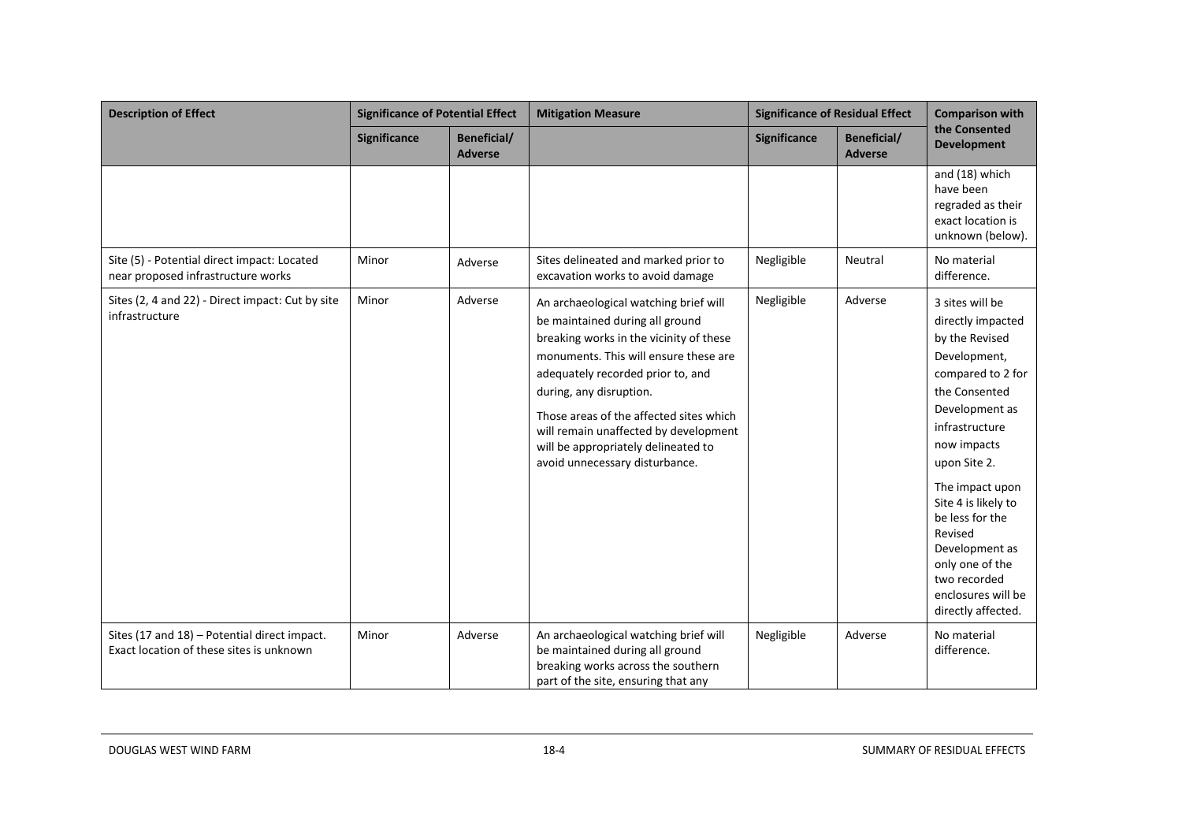| <b>Description of Effect</b>                                                             | <b>Significance of Potential Effect</b> |                                      | <b>Mitigation Measure</b>                                                                                                                                                                                                                                                                                                                                                                 | <b>Significance of Residual Effect</b> |                               | <b>Comparison with</b>                                                                                                                                                                                                                                                                                                                                   |
|------------------------------------------------------------------------------------------|-----------------------------------------|--------------------------------------|-------------------------------------------------------------------------------------------------------------------------------------------------------------------------------------------------------------------------------------------------------------------------------------------------------------------------------------------------------------------------------------------|----------------------------------------|-------------------------------|----------------------------------------------------------------------------------------------------------------------------------------------------------------------------------------------------------------------------------------------------------------------------------------------------------------------------------------------------------|
|                                                                                          | <b>Significance</b>                     | <b>Beneficial/</b><br><b>Adverse</b> |                                                                                                                                                                                                                                                                                                                                                                                           | <b>Significance</b>                    | Beneficial/<br><b>Adverse</b> | the Consented<br><b>Development</b>                                                                                                                                                                                                                                                                                                                      |
|                                                                                          |                                         |                                      |                                                                                                                                                                                                                                                                                                                                                                                           |                                        |                               | and (18) which<br>have been<br>regraded as their<br>exact location is<br>unknown (below).                                                                                                                                                                                                                                                                |
| Site (5) - Potential direct impact: Located<br>near proposed infrastructure works        | Minor                                   | Adverse                              | Sites delineated and marked prior to<br>excavation works to avoid damage                                                                                                                                                                                                                                                                                                                  | Negligible                             | Neutral                       | No material<br>difference.                                                                                                                                                                                                                                                                                                                               |
| Sites (2, 4 and 22) - Direct impact: Cut by site<br>infrastructure                       | Minor                                   | Adverse                              | An archaeological watching brief will<br>be maintained during all ground<br>breaking works in the vicinity of these<br>monuments. This will ensure these are<br>adequately recorded prior to, and<br>during, any disruption.<br>Those areas of the affected sites which<br>will remain unaffected by development<br>will be appropriately delineated to<br>avoid unnecessary disturbance. | Negligible                             | Adverse                       | 3 sites will be<br>directly impacted<br>by the Revised<br>Development,<br>compared to 2 for<br>the Consented<br>Development as<br>infrastructure<br>now impacts<br>upon Site 2.<br>The impact upon<br>Site 4 is likely to<br>be less for the<br>Revised<br>Development as<br>only one of the<br>two recorded<br>enclosures will be<br>directly affected. |
| Sites (17 and 18) - Potential direct impact.<br>Exact location of these sites is unknown | Minor                                   | Adverse                              | An archaeological watching brief will<br>be maintained during all ground<br>breaking works across the southern<br>part of the site, ensuring that any                                                                                                                                                                                                                                     | Negligible                             | Adverse                       | No material<br>difference.                                                                                                                                                                                                                                                                                                                               |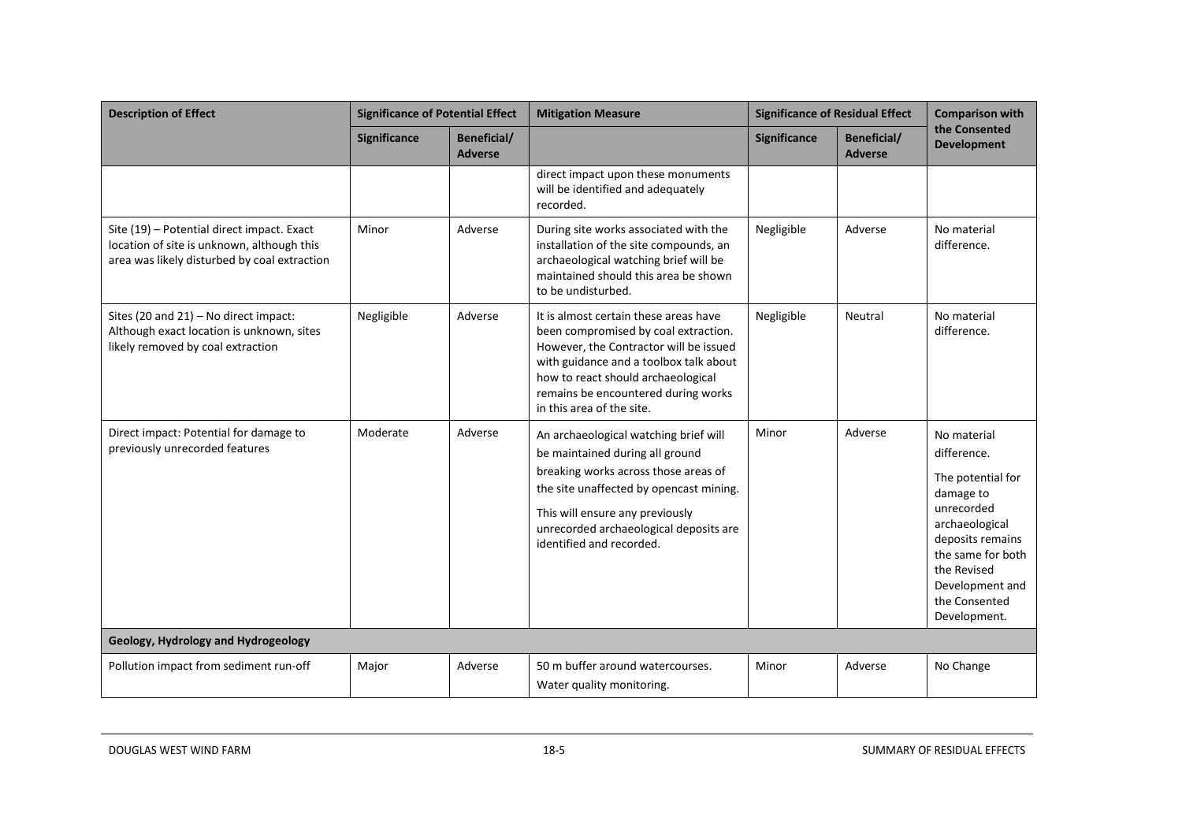| <b>Description of Effect</b>                                                                                                             | <b>Significance of Potential Effect</b> |                               | <b>Mitigation Measure</b>                                                                                                                                                                                                                                                   | <b>Significance of Residual Effect</b> |                                      | <b>Comparison with</b>                                                                                                                                                                                   |
|------------------------------------------------------------------------------------------------------------------------------------------|-----------------------------------------|-------------------------------|-----------------------------------------------------------------------------------------------------------------------------------------------------------------------------------------------------------------------------------------------------------------------------|----------------------------------------|--------------------------------------|----------------------------------------------------------------------------------------------------------------------------------------------------------------------------------------------------------|
|                                                                                                                                          | <b>Significance</b>                     | Beneficial/<br><b>Adverse</b> |                                                                                                                                                                                                                                                                             | <b>Significance</b>                    | <b>Beneficial/</b><br><b>Adverse</b> | the Consented<br><b>Development</b>                                                                                                                                                                      |
|                                                                                                                                          |                                         |                               | direct impact upon these monuments<br>will be identified and adequately<br>recorded.                                                                                                                                                                                        |                                        |                                      |                                                                                                                                                                                                          |
| Site (19) - Potential direct impact. Exact<br>location of site is unknown, although this<br>area was likely disturbed by coal extraction | Minor                                   | Adverse                       | During site works associated with the<br>installation of the site compounds, an<br>archaeological watching brief will be<br>maintained should this area be shown<br>to be undisturbed.                                                                                      | Negligible                             | Adverse                              | No material<br>difference.                                                                                                                                                                               |
| Sites (20 and 21) - No direct impact:<br>Although exact location is unknown, sites<br>likely removed by coal extraction                  | Negligible                              | Adverse                       | It is almost certain these areas have<br>been compromised by coal extraction.<br>However, the Contractor will be issued<br>with guidance and a toolbox talk about<br>how to react should archaeological<br>remains be encountered during works<br>in this area of the site. | Negligible                             | Neutral                              | No material<br>difference.                                                                                                                                                                               |
| Direct impact: Potential for damage to<br>previously unrecorded features                                                                 | Moderate                                | Adverse                       | An archaeological watching brief will<br>be maintained during all ground<br>breaking works across those areas of<br>the site unaffected by opencast mining.<br>This will ensure any previously<br>unrecorded archaeological deposits are<br>identified and recorded.        | Minor                                  | Adverse                              | No material<br>difference.<br>The potential for<br>damage to<br>unrecorded<br>archaeological<br>deposits remains<br>the same for both<br>the Revised<br>Development and<br>the Consented<br>Development. |
| Geology, Hydrology and Hydrogeology                                                                                                      |                                         |                               |                                                                                                                                                                                                                                                                             |                                        |                                      |                                                                                                                                                                                                          |
| Pollution impact from sediment run-off                                                                                                   | Major                                   | Adverse                       | 50 m buffer around watercourses.<br>Water quality monitoring.                                                                                                                                                                                                               | Minor                                  | Adverse                              | No Change                                                                                                                                                                                                |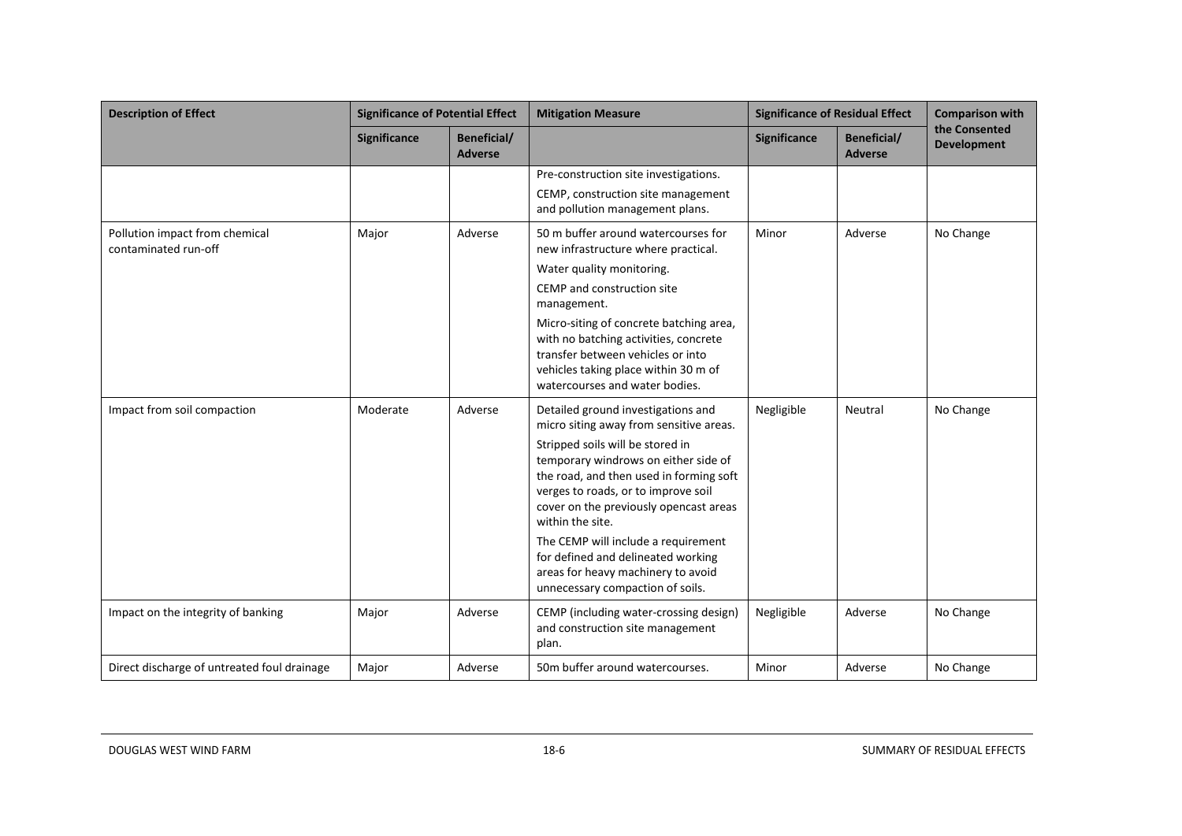| <b>Description of Effect</b>                           | <b>Significance of Potential Effect</b> |                               | <b>Mitigation Measure</b>                                                                                                                                                                                                                                                                                                                                                                                                                                        | <b>Significance of Residual Effect</b> |                               | <b>Comparison with</b>              |
|--------------------------------------------------------|-----------------------------------------|-------------------------------|------------------------------------------------------------------------------------------------------------------------------------------------------------------------------------------------------------------------------------------------------------------------------------------------------------------------------------------------------------------------------------------------------------------------------------------------------------------|----------------------------------------|-------------------------------|-------------------------------------|
|                                                        | <b>Significance</b>                     | Beneficial/<br><b>Adverse</b> |                                                                                                                                                                                                                                                                                                                                                                                                                                                                  | Significance                           | Beneficial/<br><b>Adverse</b> | the Consented<br><b>Development</b> |
|                                                        |                                         |                               | Pre-construction site investigations.<br>CEMP, construction site management<br>and pollution management plans.                                                                                                                                                                                                                                                                                                                                                   |                                        |                               |                                     |
| Pollution impact from chemical<br>contaminated run-off | Major                                   | Adverse                       | 50 m buffer around watercourses for<br>new infrastructure where practical.<br>Water quality monitoring.<br>CEMP and construction site<br>management.<br>Micro-siting of concrete batching area,<br>with no batching activities, concrete<br>transfer between vehicles or into<br>vehicles taking place within 30 m of<br>watercourses and water bodies.                                                                                                          | Minor                                  | Adverse                       | No Change                           |
| Impact from soil compaction                            | Moderate                                | Adverse                       | Detailed ground investigations and<br>micro siting away from sensitive areas.<br>Stripped soils will be stored in<br>temporary windrows on either side of<br>the road, and then used in forming soft<br>verges to roads, or to improve soil<br>cover on the previously opencast areas<br>within the site.<br>The CEMP will include a requirement<br>for defined and delineated working<br>areas for heavy machinery to avoid<br>unnecessary compaction of soils. | Negligible                             | Neutral                       | No Change                           |
| Impact on the integrity of banking                     | Major                                   | Adverse                       | CEMP (including water-crossing design)<br>and construction site management<br>plan.                                                                                                                                                                                                                                                                                                                                                                              | Negligible                             | Adverse                       | No Change                           |
| Direct discharge of untreated foul drainage            | Major                                   | Adverse                       | 50m buffer around watercourses.                                                                                                                                                                                                                                                                                                                                                                                                                                  | Minor                                  | Adverse                       | No Change                           |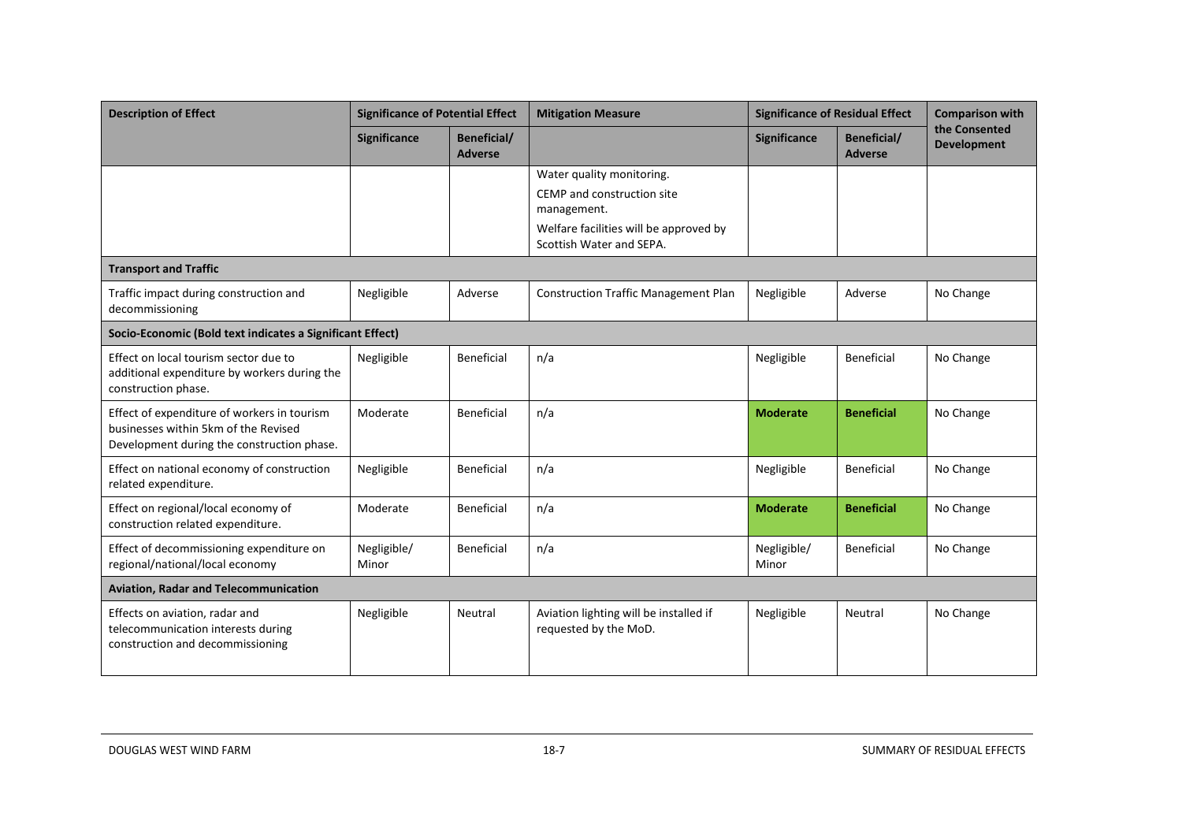| <b>Description of Effect</b>                                                                                                      | <b>Significance of Potential Effect</b> |                               | <b>Mitigation Measure</b>                                                                                        | <b>Significance of Residual Effect</b> |                                      | <b>Comparison with</b>              |  |  |  |
|-----------------------------------------------------------------------------------------------------------------------------------|-----------------------------------------|-------------------------------|------------------------------------------------------------------------------------------------------------------|----------------------------------------|--------------------------------------|-------------------------------------|--|--|--|
|                                                                                                                                   | Significance                            | Beneficial/<br><b>Adverse</b> |                                                                                                                  | <b>Significance</b>                    | <b>Beneficial/</b><br><b>Adverse</b> | the Consented<br><b>Development</b> |  |  |  |
|                                                                                                                                   |                                         |                               | Water quality monitoring.<br>CEMP and construction site<br>management.<br>Welfare facilities will be approved by |                                        |                                      |                                     |  |  |  |
|                                                                                                                                   |                                         |                               | Scottish Water and SEPA.                                                                                         |                                        |                                      |                                     |  |  |  |
| <b>Transport and Traffic</b>                                                                                                      |                                         |                               |                                                                                                                  |                                        |                                      |                                     |  |  |  |
| Traffic impact during construction and<br>decommissioning                                                                         | Negligible                              | Adverse                       | <b>Construction Traffic Management Plan</b>                                                                      | Negligible                             | Adverse                              | No Change                           |  |  |  |
| Socio-Economic (Bold text indicates a Significant Effect)                                                                         |                                         |                               |                                                                                                                  |                                        |                                      |                                     |  |  |  |
| Effect on local tourism sector due to<br>additional expenditure by workers during the<br>construction phase.                      | Negligible                              | Beneficial                    | n/a                                                                                                              | Negligible                             | <b>Beneficial</b>                    | No Change                           |  |  |  |
| Effect of expenditure of workers in tourism<br>businesses within 5km of the Revised<br>Development during the construction phase. | Moderate                                | Beneficial                    | n/a                                                                                                              | <b>Moderate</b>                        | <b>Beneficial</b>                    | No Change                           |  |  |  |
| Effect on national economy of construction<br>related expenditure.                                                                | Negligible                              | Beneficial                    | n/a                                                                                                              | Negligible                             | Beneficial                           | No Change                           |  |  |  |
| Effect on regional/local economy of<br>construction related expenditure.                                                          | Moderate                                | <b>Beneficial</b>             | n/a                                                                                                              | <b>Moderate</b>                        | <b>Beneficial</b>                    | No Change                           |  |  |  |
| Effect of decommissioning expenditure on<br>regional/national/local economy                                                       | Negligible/<br>Minor                    | Beneficial                    | n/a                                                                                                              | Negligible/<br>Minor                   | Beneficial                           | No Change                           |  |  |  |
| Aviation, Radar and Telecommunication                                                                                             |                                         |                               |                                                                                                                  |                                        |                                      |                                     |  |  |  |
| Effects on aviation, radar and<br>telecommunication interests during<br>construction and decommissioning                          | Negligible                              | Neutral                       | Aviation lighting will be installed if<br>requested by the MoD.                                                  | Negligible                             | Neutral                              | No Change                           |  |  |  |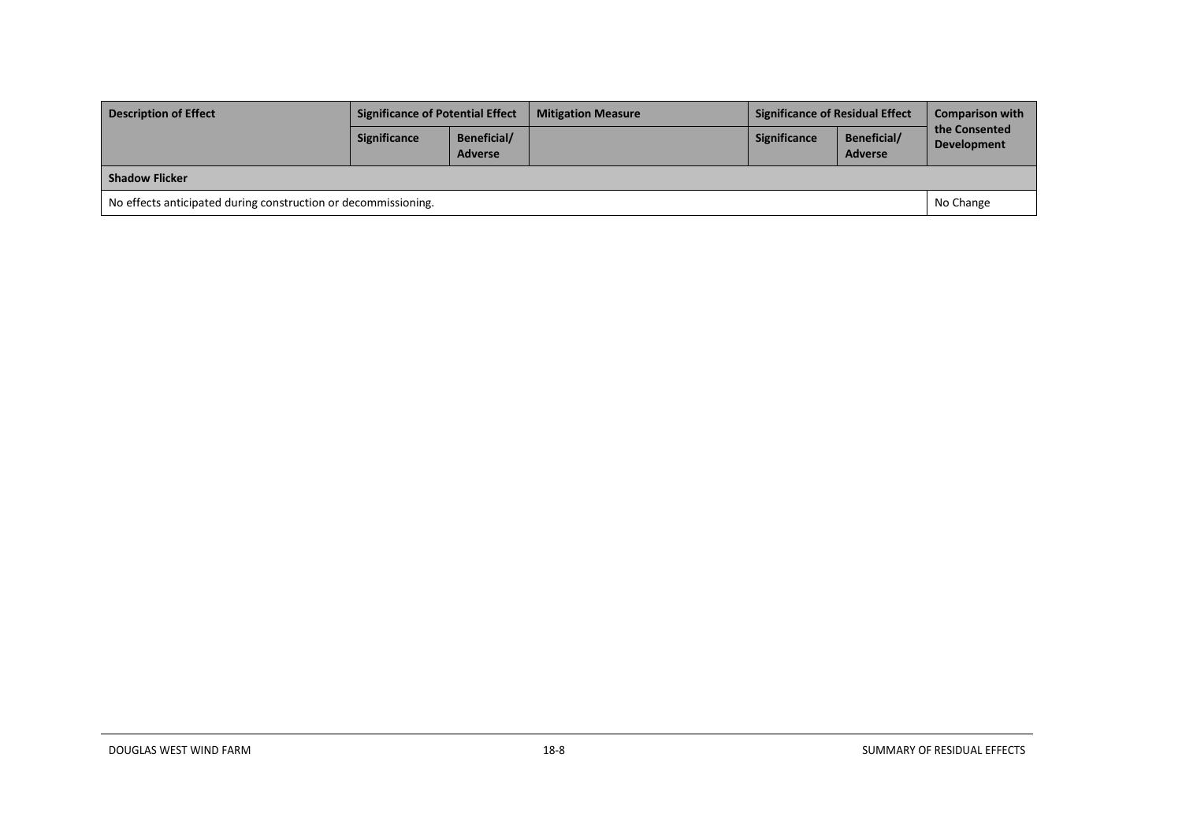| <b>Description of Effect</b>                                   | <b>Significance of Potential Effect</b> |  | <b>Mitigation Measure</b> | <b>Significance of Residual Effect</b> |                                      | <b>Comparison with</b>              |  |  |
|----------------------------------------------------------------|-----------------------------------------|--|---------------------------|----------------------------------------|--------------------------------------|-------------------------------------|--|--|
|                                                                | <b>Significance</b>                     |  |                           | <b>Significance</b>                    | <b>Beneficial/</b><br><b>Adverse</b> | the Consented<br><b>Development</b> |  |  |
| Shadow Flicker                                                 |                                         |  |                           |                                        |                                      |                                     |  |  |
| No effects anticipated during construction or decommissioning. |                                         |  |                           |                                        |                                      | No Change                           |  |  |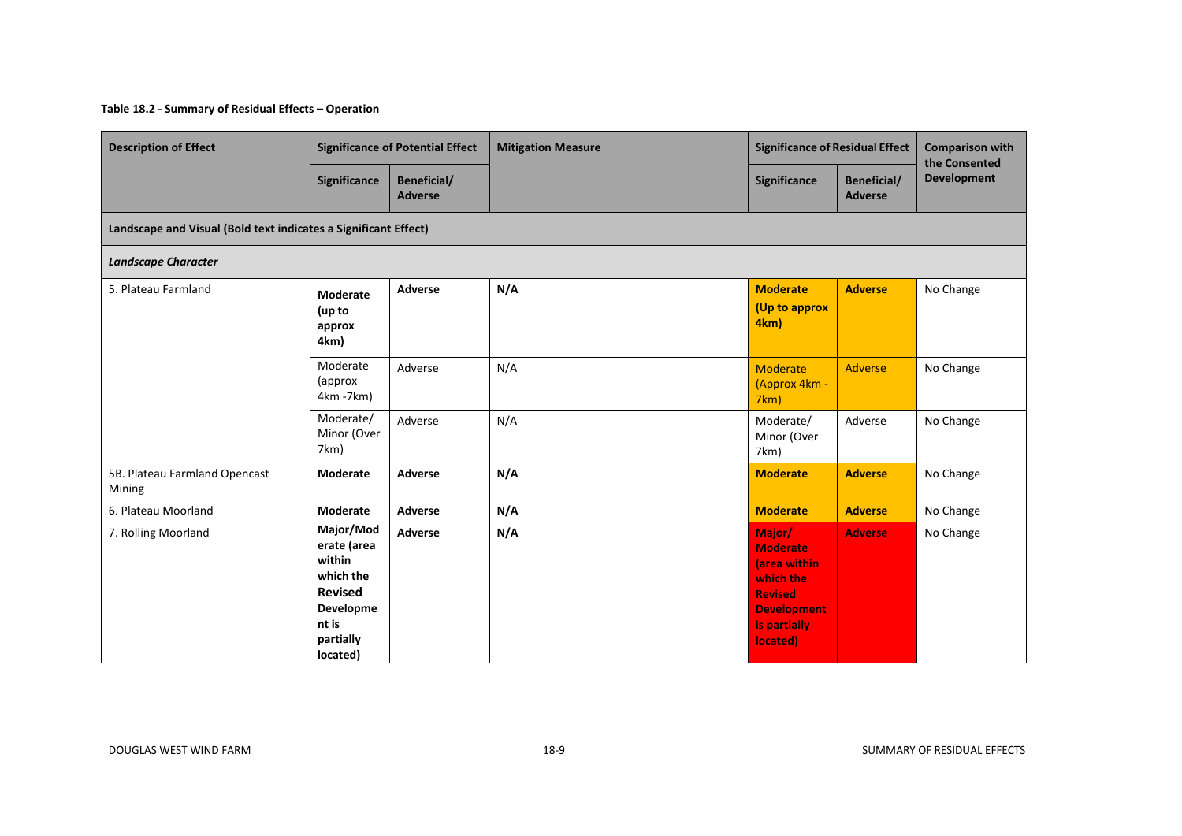### **Table 18.2 - Summary of Residual Effects – Operation**

<span id="page-10-0"></span>

| <b>Description of Effect</b>                                    | <b>Significance of Potential Effect</b>                                                                          |                                      | <b>Mitigation Measure</b> | <b>Significance of Residual Effect</b>                                                                                     |                               | <b>Comparison with</b><br>the Consented |  |  |  |
|-----------------------------------------------------------------|------------------------------------------------------------------------------------------------------------------|--------------------------------------|---------------------------|----------------------------------------------------------------------------------------------------------------------------|-------------------------------|-----------------------------------------|--|--|--|
|                                                                 | Significance                                                                                                     | <b>Beneficial/</b><br><b>Adverse</b> |                           | Significance                                                                                                               | Beneficial/<br><b>Adverse</b> | <b>Development</b>                      |  |  |  |
| Landscape and Visual (Bold text indicates a Significant Effect) |                                                                                                                  |                                      |                           |                                                                                                                            |                               |                                         |  |  |  |
| <b>Landscape Character</b>                                      |                                                                                                                  |                                      |                           |                                                                                                                            |                               |                                         |  |  |  |
| 5. Plateau Farmland                                             | Moderate<br>(up to<br>approx<br>4km)                                                                             | <b>Adverse</b>                       | N/A                       | <b>Moderate</b><br>(Up to approx<br>4km)                                                                                   | <b>Adverse</b>                | No Change                               |  |  |  |
|                                                                 | Moderate<br>(approx)<br>4km -7km)                                                                                | Adverse                              | N/A                       | <b>Moderate</b><br>(Approx 4km -<br>7km)                                                                                   | <b>Adverse</b>                | No Change                               |  |  |  |
|                                                                 | Moderate/<br>Minor (Over<br>7km)                                                                                 | Adverse                              | N/A                       | Moderate/<br>Minor (Over<br>7km)                                                                                           | Adverse                       | No Change                               |  |  |  |
| 5B. Plateau Farmland Opencast<br>Mining                         | Moderate                                                                                                         | <b>Adverse</b>                       | N/A                       | <b>Moderate</b>                                                                                                            | <b>Adverse</b>                | No Change                               |  |  |  |
| 6. Plateau Moorland                                             | Moderate                                                                                                         | <b>Adverse</b>                       | N/A                       | <b>Moderate</b>                                                                                                            | <b>Adverse</b>                | No Change                               |  |  |  |
| 7. Rolling Moorland                                             | Major/Mod<br>erate (area<br>within<br>which the<br><b>Revised</b><br>Developme<br>nt is<br>partially<br>located) | <b>Adverse</b>                       | N/A                       | Major/<br><b>Moderate</b><br>(area within<br>which the<br><b>Revised</b><br><b>Development</b><br>is partially<br>located) | <b>Adverse</b>                | No Change                               |  |  |  |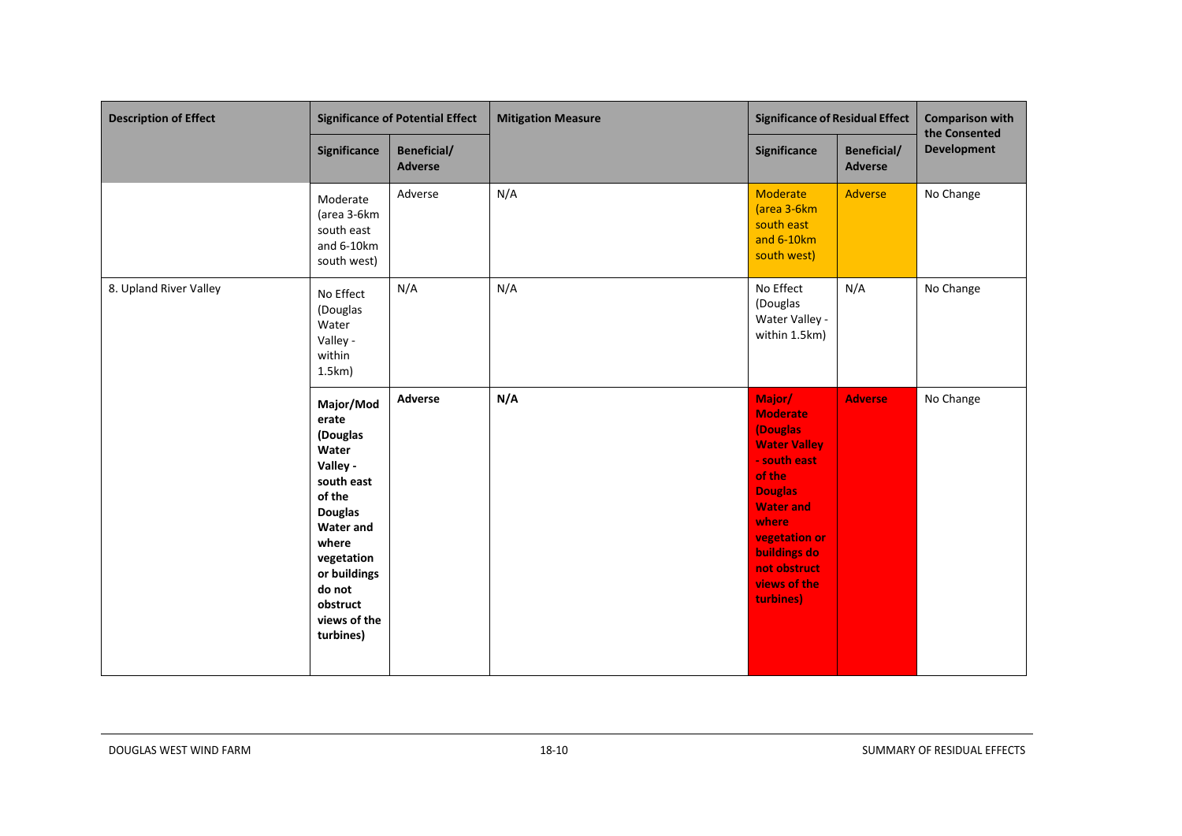| <b>Description of Effect</b> | <b>Significance of Potential Effect</b>                                                                                                                                                                     |                               | <b>Mitigation Measure</b> | <b>Significance of Residual Effect</b>                                                                                                                                                                                                   |                               | <b>Comparison with</b><br>the Consented |
|------------------------------|-------------------------------------------------------------------------------------------------------------------------------------------------------------------------------------------------------------|-------------------------------|---------------------------|------------------------------------------------------------------------------------------------------------------------------------------------------------------------------------------------------------------------------------------|-------------------------------|-----------------------------------------|
|                              | Significance                                                                                                                                                                                                | Beneficial/<br><b>Adverse</b> |                           | Significance                                                                                                                                                                                                                             | Beneficial/<br><b>Adverse</b> | <b>Development</b>                      |
|                              | Moderate<br>(area 3-6km<br>south east<br>and 6-10km<br>south west)                                                                                                                                          | Adverse                       | N/A                       | Moderate<br>(area 3-6km<br>south east<br>and 6-10km<br>south west)                                                                                                                                                                       | Adverse                       | No Change                               |
| 8. Upland River Valley       | No Effect<br>(Douglas<br>Water<br>Valley -<br>within<br>1.5km)                                                                                                                                              | N/A                           | N/A                       | No Effect<br>(Douglas<br>Water Valley -<br>within 1.5km)                                                                                                                                                                                 | N/A                           | No Change                               |
|                              | Major/Mod<br>erate<br>(Douglas<br>Water<br>Valley -<br>south east<br>of the<br><b>Douglas</b><br><b>Water and</b><br>where<br>vegetation<br>or buildings<br>do not<br>obstruct<br>views of the<br>turbines) | <b>Adverse</b>                | N/A                       | Major/<br><b>Moderate</b><br><b>(Douglas</b><br><b>Water Valley</b><br>- south east<br>of the<br><b>Douglas</b><br><b>Water and</b><br>where<br><b>vegetation or</b><br><b>buildings do</b><br>not obstruct<br>views of the<br>turbines) | <b>Adverse</b>                | No Change                               |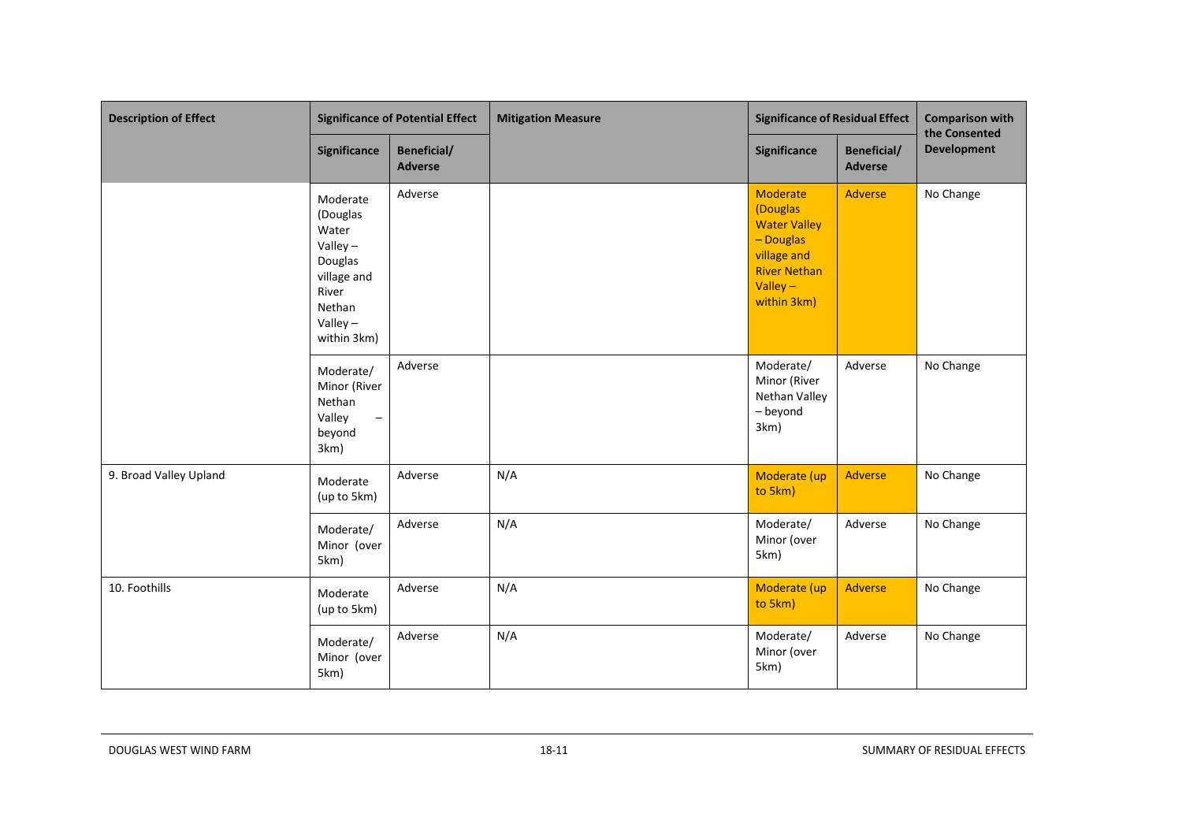| <b>Description of Effect</b> |                                                                                                                       | <b>Significance of Potential Effect</b> | <b>Mitigation Measure</b> | <b>Significance of Residual Effect</b>                                                                                             |                                      | <b>Comparison with</b><br>the Consented |
|------------------------------|-----------------------------------------------------------------------------------------------------------------------|-----------------------------------------|---------------------------|------------------------------------------------------------------------------------------------------------------------------------|--------------------------------------|-----------------------------------------|
|                              | Significance                                                                                                          | Beneficial/<br><b>Adverse</b>           |                           | Significance                                                                                                                       | <b>Beneficial/</b><br><b>Adverse</b> | <b>Development</b>                      |
|                              | Moderate<br>(Douglas<br>Water<br>Valley $-$<br>Douglas<br>village and<br>River<br>Nethan<br>$Valuey -$<br>within 3km) | Adverse                                 |                           | <b>Moderate</b><br>(Douglas<br><b>Water Valley</b><br>- Douglas<br>village and<br><b>River Nethan</b><br>Valley $-$<br>within 3km) | <b>Adverse</b>                       | No Change                               |
|                              | Moderate/<br>Minor (River<br>Nethan<br>Valley<br>$\overline{\phantom{a}}$<br>beyond<br>3km)                           | Adverse                                 |                           | Moderate/<br>Minor (River<br>Nethan Valley<br>- beyond<br>3km)                                                                     | Adverse                              | No Change                               |
| 9. Broad Valley Upland       | Moderate<br>(up to 5km)                                                                                               | Adverse                                 | N/A                       | Moderate (up<br>to 5km)                                                                                                            | Adverse                              | No Change                               |
|                              | Moderate/<br>Minor (over<br>5km)                                                                                      | Adverse                                 | N/A                       | Moderate/<br>Minor (over<br>5km)                                                                                                   | Adverse                              | No Change                               |
| 10. Foothills                | Moderate<br>(up to 5km)                                                                                               | Adverse                                 | N/A                       | Moderate (up<br>to 5km)                                                                                                            | Adverse                              | No Change                               |
|                              | Moderate/<br>Minor (over<br>5km)                                                                                      | Adverse                                 | N/A                       | Moderate/<br>Minor (over<br>5km)                                                                                                   | Adverse                              | No Change                               |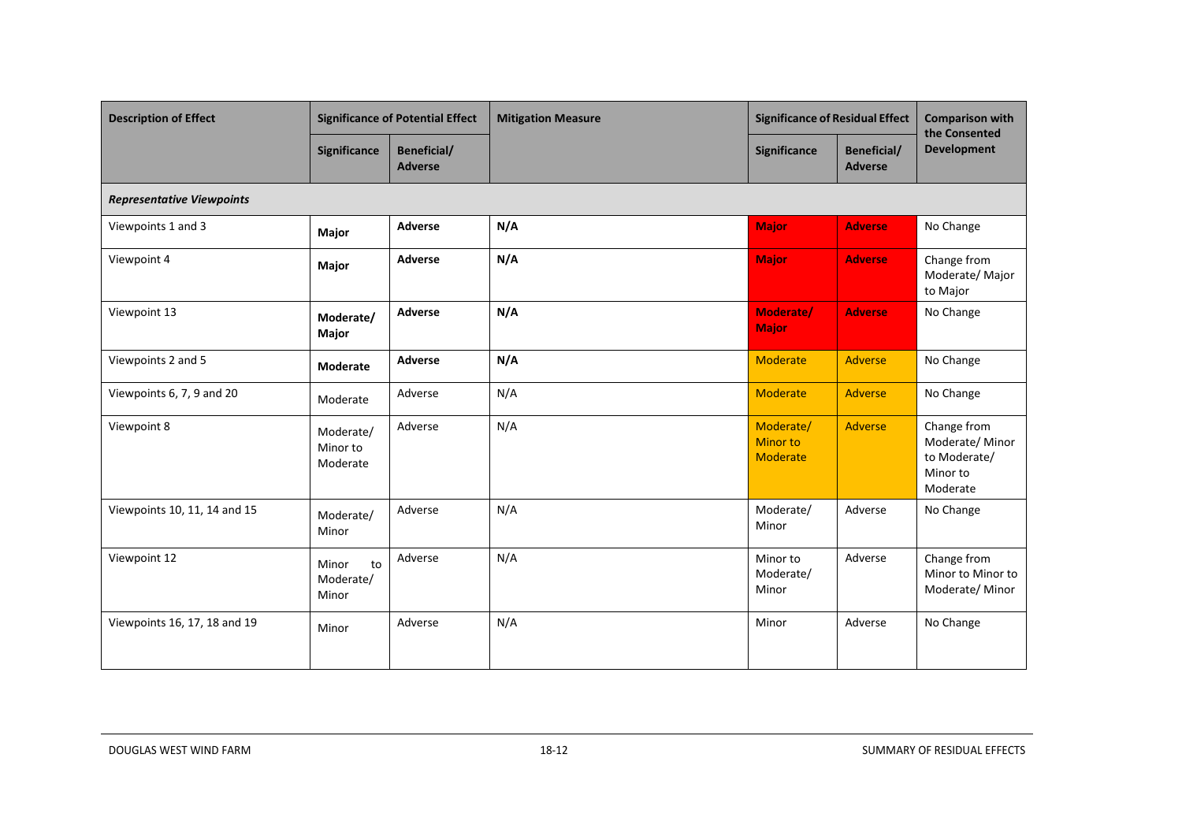| <b>Description of Effect</b>     | <b>Significance of Potential Effect</b> |                                      | <b>Mitigation Measure</b> | <b>Significance of Residual Effect</b>          |                                      | <b>Comparison with</b><br>the Consented                                |  |  |  |  |
|----------------------------------|-----------------------------------------|--------------------------------------|---------------------------|-------------------------------------------------|--------------------------------------|------------------------------------------------------------------------|--|--|--|--|
|                                  | Significance                            | <b>Beneficial/</b><br><b>Adverse</b> |                           | Significance                                    | <b>Beneficial/</b><br><b>Adverse</b> | <b>Development</b>                                                     |  |  |  |  |
| <b>Representative Viewpoints</b> |                                         |                                      |                           |                                                 |                                      |                                                                        |  |  |  |  |
| Viewpoints 1 and 3               | Major                                   | <b>Adverse</b>                       | N/A                       | <b>Major</b>                                    | <b>Adverse</b>                       | No Change                                                              |  |  |  |  |
| Viewpoint 4                      | Major                                   | <b>Adverse</b>                       | N/A                       | <b>Major</b>                                    | <b>Adverse</b>                       | Change from<br>Moderate/Major<br>to Major                              |  |  |  |  |
| Viewpoint 13                     | Moderate/<br>Major                      | <b>Adverse</b>                       | N/A                       | Moderate/<br><b>Major</b>                       | <b>Adverse</b>                       | No Change                                                              |  |  |  |  |
| Viewpoints 2 and 5               | <b>Moderate</b>                         | <b>Adverse</b>                       | N/A                       | <b>Moderate</b>                                 | <b>Adverse</b>                       | No Change                                                              |  |  |  |  |
| Viewpoints 6, 7, 9 and 20        | Moderate                                | Adverse                              | N/A                       | <b>Moderate</b>                                 | <b>Adverse</b>                       | No Change                                                              |  |  |  |  |
| Viewpoint 8                      | Moderate/<br>Minor to<br>Moderate       | Adverse                              | N/A                       | Moderate/<br><b>Minor to</b><br><b>Moderate</b> | <b>Adverse</b>                       | Change from<br>Moderate/ Minor<br>to Moderate/<br>Minor to<br>Moderate |  |  |  |  |
| Viewpoints 10, 11, 14 and 15     | Moderate/<br>Minor                      | Adverse                              | N/A                       | Moderate/<br>Minor                              | Adverse                              | No Change                                                              |  |  |  |  |
| Viewpoint 12                     | to<br>Minor<br>Moderate/<br>Minor       | Adverse                              | N/A                       | Minor to<br>Moderate/<br>Minor                  | Adverse                              | Change from<br>Minor to Minor to<br>Moderate/ Minor                    |  |  |  |  |
| Viewpoints 16, 17, 18 and 19     | Minor                                   | Adverse                              | N/A                       | Minor                                           | Adverse                              | No Change                                                              |  |  |  |  |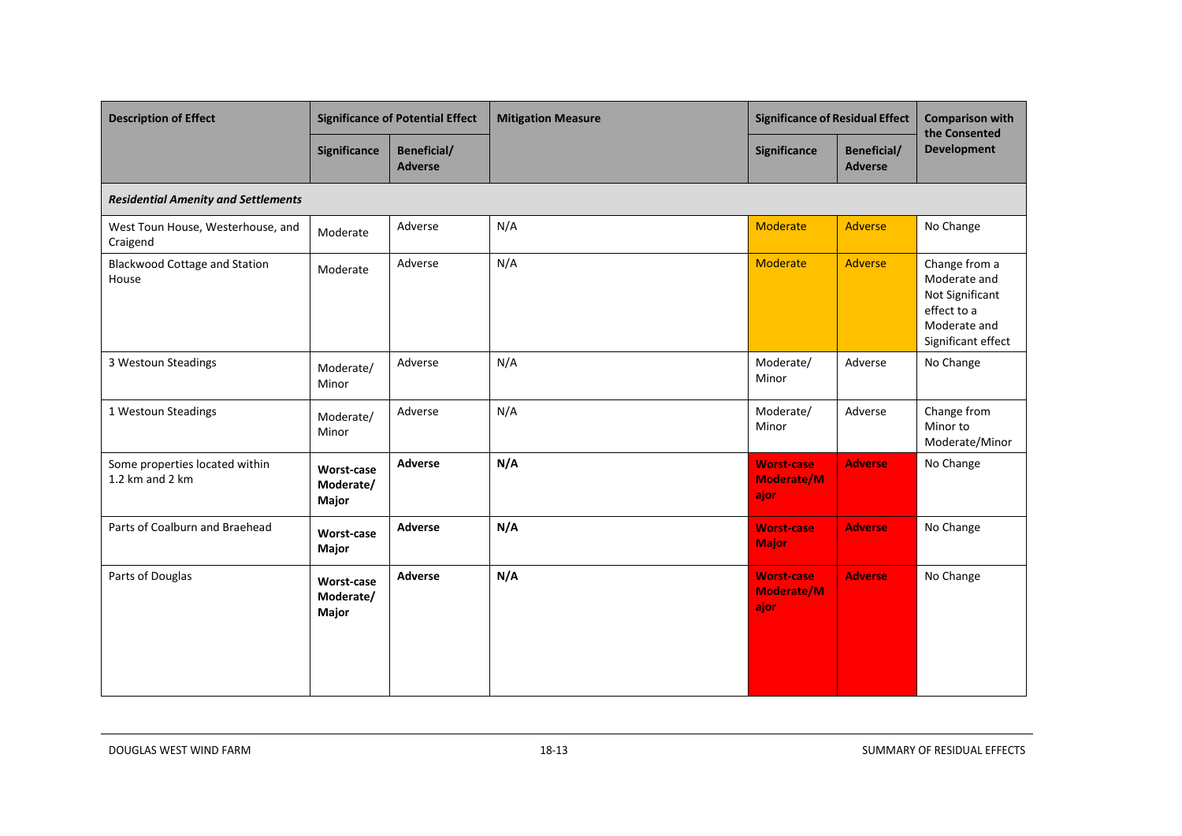| <b>Description of Effect</b>                      | <b>Significance of Potential Effect</b> |                                      | <b>Mitigation Measure</b> | <b>Significance of Residual Effect</b>         |                               | <b>Comparison with</b><br>the Consented                                                               |
|---------------------------------------------------|-----------------------------------------|--------------------------------------|---------------------------|------------------------------------------------|-------------------------------|-------------------------------------------------------------------------------------------------------|
|                                                   | Significance                            | <b>Beneficial/</b><br><b>Adverse</b> |                           | Significance                                   | Beneficial/<br><b>Adverse</b> | <b>Development</b>                                                                                    |
| <b>Residential Amenity and Settlements</b>        |                                         |                                      |                           |                                                |                               |                                                                                                       |
| West Toun House, Westerhouse, and<br>Craigend     | Moderate                                | Adverse                              | N/A                       | <b>Moderate</b>                                | <b>Adverse</b>                | No Change                                                                                             |
| <b>Blackwood Cottage and Station</b><br>House     | Moderate                                | Adverse                              | N/A                       | Moderate                                       | <b>Adverse</b>                | Change from a<br>Moderate and<br>Not Significant<br>effect to a<br>Moderate and<br>Significant effect |
| 3 Westoun Steadings                               | Moderate/<br>Minor                      | Adverse                              | N/A                       | Moderate/<br>Minor                             | Adverse                       | No Change                                                                                             |
| 1 Westoun Steadings                               | Moderate/<br>Minor                      | Adverse                              | N/A                       | Moderate/<br>Minor                             | Adverse                       | Change from<br>Minor to<br>Moderate/Minor                                                             |
| Some properties located within<br>1.2 km and 2 km | Worst-case<br>Moderate/<br>Major        | <b>Adverse</b>                       | N/A                       | <b>Worst-case</b><br><b>Moderate/M</b><br>ajor | <b>Adverse</b>                | No Change                                                                                             |
| Parts of Coalburn and Braehead                    | Worst-case<br>Major                     | <b>Adverse</b>                       | N/A                       | <b>Worst-case</b><br><b>Major</b>              | <b>Adverse</b>                | No Change                                                                                             |
| Parts of Douglas                                  | Worst-case<br>Moderate/<br>Major        | <b>Adverse</b>                       | N/A                       | <b>Worst-case</b><br>Moderate/M<br>ajor        | <b>Adverse</b>                | No Change                                                                                             |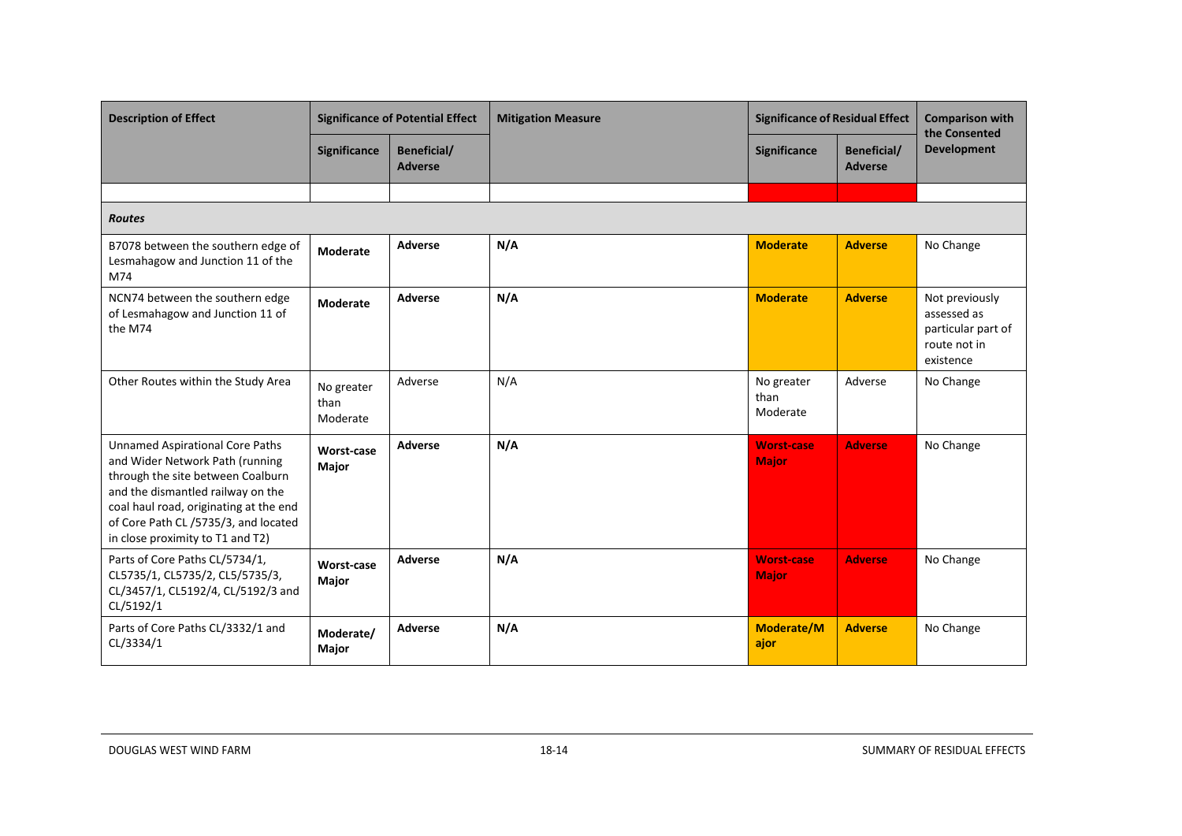| <b>Description of Effect</b>                                                                                                                                                                                                                                              | <b>Significance of Potential Effect</b> |                               | <b>Mitigation Measure</b> | <b>Significance of Residual Effect</b> |                                      | <b>Comparison with</b><br>the Consented                                          |
|---------------------------------------------------------------------------------------------------------------------------------------------------------------------------------------------------------------------------------------------------------------------------|-----------------------------------------|-------------------------------|---------------------------|----------------------------------------|--------------------------------------|----------------------------------------------------------------------------------|
|                                                                                                                                                                                                                                                                           | <b>Significance</b>                     | Beneficial/<br><b>Adverse</b> |                           | Significance                           | <b>Beneficial/</b><br><b>Adverse</b> | <b>Development</b>                                                               |
|                                                                                                                                                                                                                                                                           |                                         |                               |                           |                                        |                                      |                                                                                  |
| <b>Routes</b>                                                                                                                                                                                                                                                             |                                         |                               |                           |                                        |                                      |                                                                                  |
| B7078 between the southern edge of<br>Lesmahagow and Junction 11 of the<br>M74                                                                                                                                                                                            | <b>Moderate</b>                         | <b>Adverse</b>                | N/A                       | <b>Moderate</b>                        | <b>Adverse</b>                       | No Change                                                                        |
| NCN74 between the southern edge<br>of Lesmahagow and Junction 11 of<br>the M74                                                                                                                                                                                            | <b>Moderate</b>                         | Adverse                       | N/A                       | <b>Moderate</b>                        | <b>Adverse</b>                       | Not previously<br>assessed as<br>particular part of<br>route not in<br>existence |
| Other Routes within the Study Area                                                                                                                                                                                                                                        | No greater<br>than<br>Moderate          | Adverse                       | N/A                       | No greater<br>than<br>Moderate         | Adverse                              | No Change                                                                        |
| <b>Unnamed Aspirational Core Paths</b><br>and Wider Network Path (running<br>through the site between Coalburn<br>and the dismantled railway on the<br>coal haul road, originating at the end<br>of Core Path CL /5735/3, and located<br>in close proximity to T1 and T2) | Worst-case<br><b>Major</b>              | Adverse                       | N/A                       | <b>Worst-case</b><br><b>Major</b>      | <b>Adverse</b>                       | No Change                                                                        |
| Parts of Core Paths CL/5734/1,<br>CL5735/1, CL5735/2, CL5/5735/3,<br>CL/3457/1, CL5192/4, CL/5192/3 and<br>CL/5192/1                                                                                                                                                      | Worst-case<br>Major                     | <b>Adverse</b>                | N/A                       | <b>Worst-case</b><br><b>Major</b>      | <b>Adverse</b>                       | No Change                                                                        |
| Parts of Core Paths CL/3332/1 and<br>CL/3334/1                                                                                                                                                                                                                            | Moderate/<br><b>Major</b>               | Adverse                       | N/A                       | Moderate/M<br>ajor                     | <b>Adverse</b>                       | No Change                                                                        |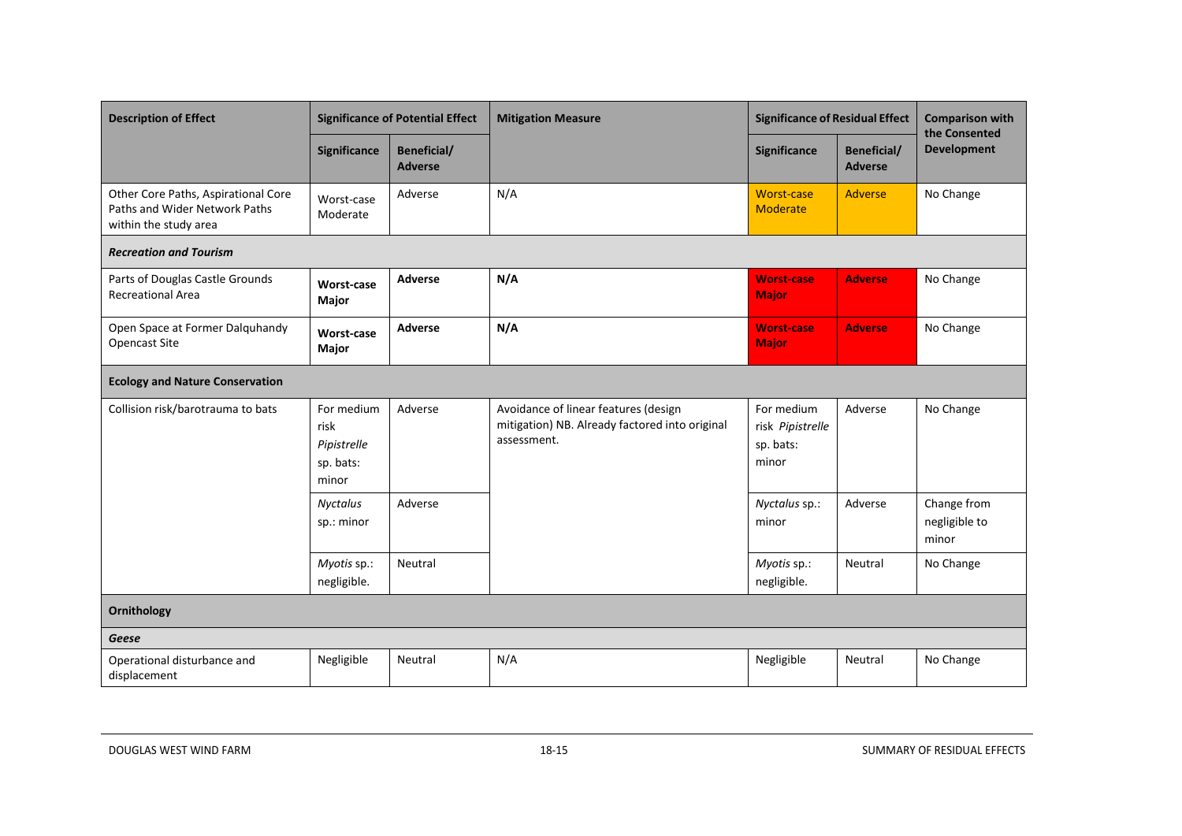| <b>Description of Effect</b>                                                                  | <b>Significance of Potential Effect</b>                 |                               | <b>Mitigation Measure</b>                                                                             | <b>Significance of Residual Effect</b>               |                                      | <b>Comparison with</b><br>the Consented |
|-----------------------------------------------------------------------------------------------|---------------------------------------------------------|-------------------------------|-------------------------------------------------------------------------------------------------------|------------------------------------------------------|--------------------------------------|-----------------------------------------|
|                                                                                               | Significance                                            | Beneficial/<br><b>Adverse</b> |                                                                                                       | Significance                                         | <b>Beneficial/</b><br><b>Adverse</b> | <b>Development</b>                      |
| Other Core Paths, Aspirational Core<br>Paths and Wider Network Paths<br>within the study area | Worst-case<br>Moderate                                  | Adverse                       | N/A                                                                                                   | Worst-case<br><b>Moderate</b>                        | <b>Adverse</b>                       | No Change                               |
| <b>Recreation and Tourism</b>                                                                 |                                                         |                               |                                                                                                       |                                                      |                                      |                                         |
| Parts of Douglas Castle Grounds<br><b>Recreational Area</b>                                   | Worst-case<br>Major                                     | <b>Adverse</b>                | N/A                                                                                                   | <b>Worst-case</b><br><b>Major</b>                    | <b>Adverse</b>                       | No Change                               |
| Open Space at Former Dalquhandy<br><b>Opencast Site</b>                                       | Worst-case<br>Major                                     | Adverse                       | N/A                                                                                                   | <b>Worst-case</b><br><b>Major</b>                    | <b>Adverse</b>                       | No Change                               |
| <b>Ecology and Nature Conservation</b>                                                        |                                                         |                               |                                                                                                       |                                                      |                                      |                                         |
| Collision risk/barotrauma to bats                                                             | For medium<br>risk<br>Pipistrelle<br>sp. bats:<br>minor | Adverse                       | Avoidance of linear features (design<br>mitigation) NB. Already factored into original<br>assessment. | For medium<br>risk Pipistrelle<br>sp. bats:<br>minor | Adverse                              | No Change                               |
|                                                                                               | <b>Nyctalus</b><br>sp.: minor                           | Adverse                       |                                                                                                       | Nyctalus sp.:<br>minor                               | Adverse                              | Change from<br>negligible to<br>minor   |
|                                                                                               | Myotis sp.:<br>negligible.                              | Neutral                       |                                                                                                       | Myotis sp.:<br>negligible.                           | Neutral                              | No Change                               |
| <b>Ornithology</b>                                                                            |                                                         |                               |                                                                                                       |                                                      |                                      |                                         |
| Geese                                                                                         |                                                         |                               |                                                                                                       |                                                      |                                      |                                         |
| Operational disturbance and<br>displacement                                                   | Negligible                                              | Neutral                       | N/A                                                                                                   | Negligible                                           | Neutral                              | No Change                               |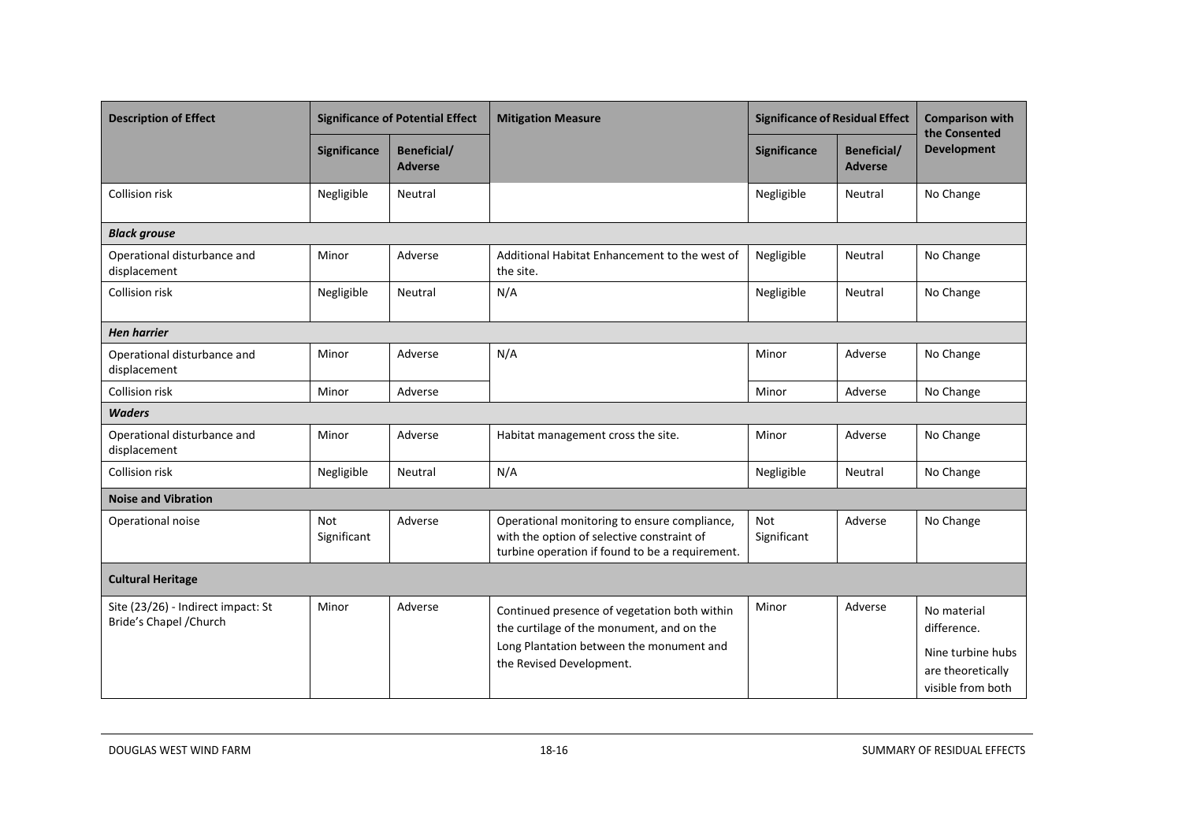| <b>Description of Effect</b>                                  |                           | <b>Significance of Potential Effect</b> | <b>Mitigation Measure</b>                                                                                                                                         | <b>Significance of Residual Effect</b> |                                      | <b>Comparison with</b><br>the Consented                                                   |
|---------------------------------------------------------------|---------------------------|-----------------------------------------|-------------------------------------------------------------------------------------------------------------------------------------------------------------------|----------------------------------------|--------------------------------------|-------------------------------------------------------------------------------------------|
|                                                               | <b>Significance</b>       | Beneficial/<br><b>Adverse</b>           |                                                                                                                                                                   | Significance                           | <b>Beneficial/</b><br><b>Adverse</b> | <b>Development</b>                                                                        |
| <b>Collision risk</b>                                         | Negligible                | Neutral                                 |                                                                                                                                                                   | Negligible                             | Neutral                              | No Change                                                                                 |
| <b>Black grouse</b>                                           |                           |                                         |                                                                                                                                                                   |                                        |                                      |                                                                                           |
| Operational disturbance and<br>displacement                   | Minor                     | Adverse                                 | Additional Habitat Enhancement to the west of<br>the site.                                                                                                        | Negligible                             | Neutral                              | No Change                                                                                 |
| Collision risk                                                | Negligible                | Neutral                                 | N/A                                                                                                                                                               | Negligible                             | Neutral                              | No Change                                                                                 |
| <b>Hen harrier</b>                                            |                           |                                         |                                                                                                                                                                   |                                        |                                      |                                                                                           |
| Operational disturbance and<br>displacement                   | Minor                     | Adverse                                 | N/A                                                                                                                                                               | Minor                                  | Adverse                              | No Change                                                                                 |
| Collision risk                                                | Minor                     | Adverse                                 |                                                                                                                                                                   | Minor                                  | Adverse                              | No Change                                                                                 |
| <b>Waders</b>                                                 |                           |                                         |                                                                                                                                                                   |                                        |                                      |                                                                                           |
| Operational disturbance and<br>displacement                   | Minor                     | Adverse                                 | Habitat management cross the site.                                                                                                                                | Minor                                  | Adverse                              | No Change                                                                                 |
| Collision risk                                                | Negligible                | Neutral                                 | N/A                                                                                                                                                               | Negligible                             | Neutral                              | No Change                                                                                 |
| <b>Noise and Vibration</b>                                    |                           |                                         |                                                                                                                                                                   |                                        |                                      |                                                                                           |
| Operational noise                                             | <b>Not</b><br>Significant | Adverse                                 | Operational monitoring to ensure compliance,<br>with the option of selective constraint of<br>turbine operation if found to be a requirement.                     | Not<br>Significant                     | Adverse                              | No Change                                                                                 |
| <b>Cultural Heritage</b>                                      |                           |                                         |                                                                                                                                                                   |                                        |                                      |                                                                                           |
| Site (23/26) - Indirect impact: St<br>Bride's Chapel / Church | Minor                     | Adverse                                 | Continued presence of vegetation both within<br>the curtilage of the monument, and on the<br>Long Plantation between the monument and<br>the Revised Development. | Minor                                  | Adverse                              | No material<br>difference.<br>Nine turbine hubs<br>are theoretically<br>visible from both |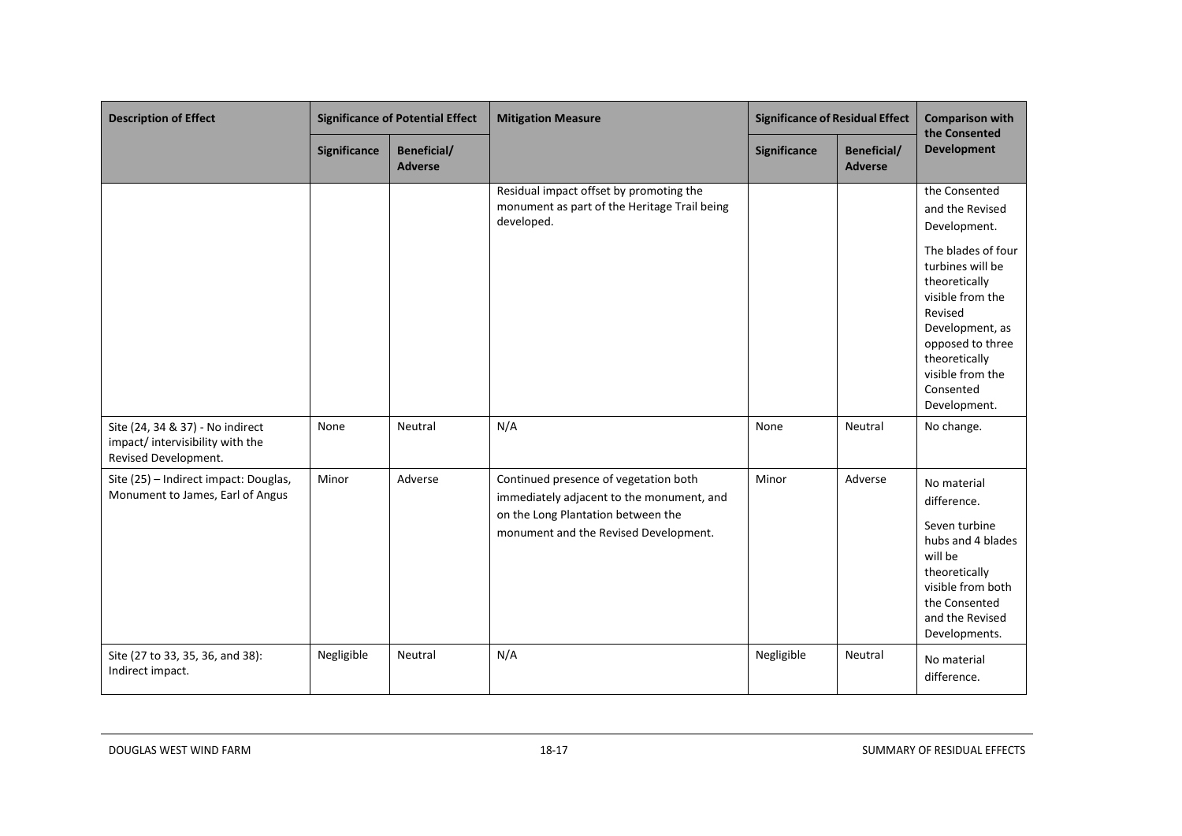| <b>Description of Effect</b>                                                                |                     | <b>Significance of Potential Effect</b> | <b>Mitigation Measure</b>                                                                                                                                         | <b>Significance of Residual Effect</b> |                                      | <b>Comparison with</b><br>the Consented                                                                                                                                                         |
|---------------------------------------------------------------------------------------------|---------------------|-----------------------------------------|-------------------------------------------------------------------------------------------------------------------------------------------------------------------|----------------------------------------|--------------------------------------|-------------------------------------------------------------------------------------------------------------------------------------------------------------------------------------------------|
|                                                                                             | <b>Significance</b> | Beneficial/<br><b>Adverse</b>           |                                                                                                                                                                   | Significance                           | <b>Beneficial/</b><br><b>Adverse</b> | <b>Development</b>                                                                                                                                                                              |
|                                                                                             |                     |                                         | Residual impact offset by promoting the<br>monument as part of the Heritage Trail being<br>developed.                                                             |                                        |                                      | the Consented<br>and the Revised<br>Development.                                                                                                                                                |
|                                                                                             |                     |                                         |                                                                                                                                                                   |                                        |                                      | The blades of four<br>turbines will be<br>theoretically<br>visible from the<br>Revised<br>Development, as<br>opposed to three<br>theoretically<br>visible from the<br>Consented<br>Development. |
| Site (24, 34 & 37) - No indirect<br>impact/intervisibility with the<br>Revised Development. | None                | Neutral                                 | N/A                                                                                                                                                               | None                                   | Neutral                              | No change.                                                                                                                                                                                      |
| Site (25) - Indirect impact: Douglas,<br>Monument to James, Earl of Angus                   | Minor               | Adverse                                 | Continued presence of vegetation both<br>immediately adjacent to the monument, and<br>on the Long Plantation between the<br>monument and the Revised Development. | Minor                                  | Adverse                              | No material<br>difference.<br>Seven turbine<br>hubs and 4 blades<br>will be<br>theoretically<br>visible from both<br>the Consented<br>and the Revised<br>Developments.                          |
| Site (27 to 33, 35, 36, and 38):<br>Indirect impact.                                        | Negligible          | Neutral                                 | N/A                                                                                                                                                               | Negligible                             | Neutral                              | No material<br>difference.                                                                                                                                                                      |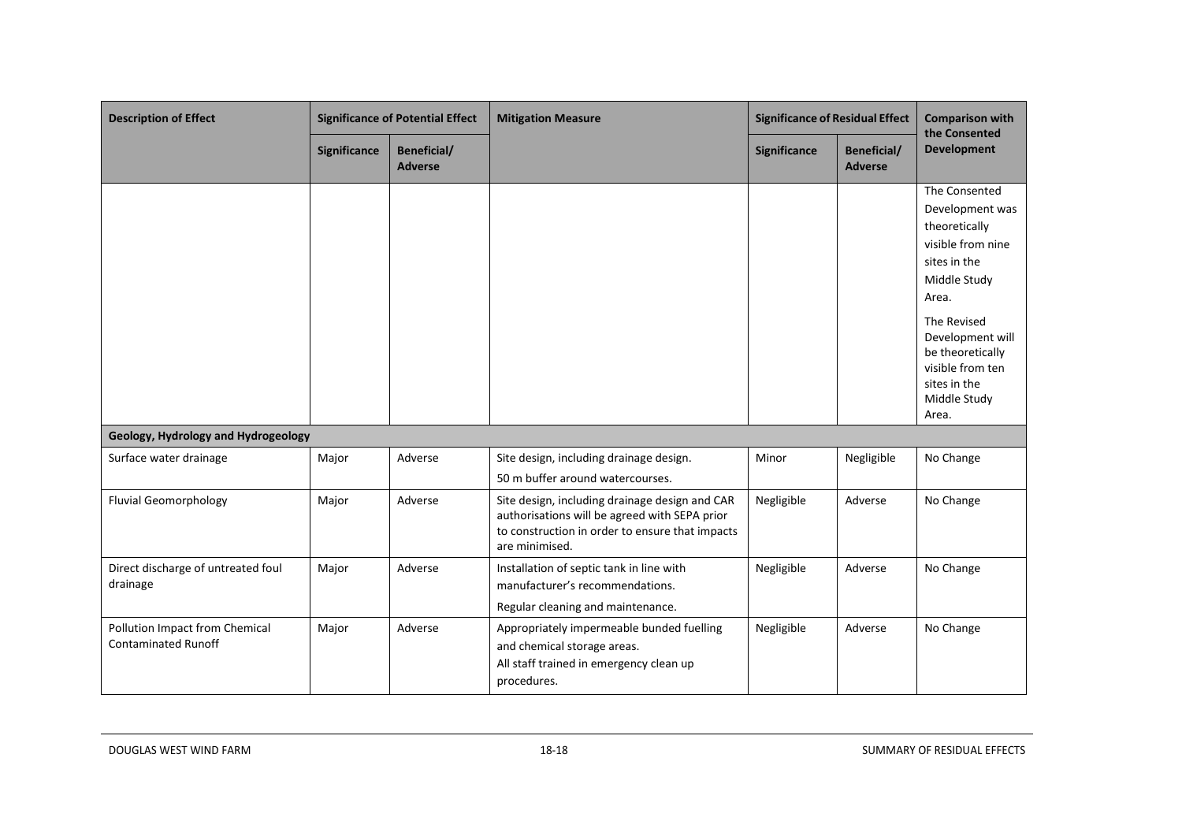| <b>Description of Effect</b>                                 | <b>Significance of Potential Effect</b> |                               | <b>Mitigation Measure</b>                                                                                                                                            | <b>Significance of Residual Effect</b> |                                      | <b>Comparison with</b><br>the Consented                                                                                                                                                                                             |
|--------------------------------------------------------------|-----------------------------------------|-------------------------------|----------------------------------------------------------------------------------------------------------------------------------------------------------------------|----------------------------------------|--------------------------------------|-------------------------------------------------------------------------------------------------------------------------------------------------------------------------------------------------------------------------------------|
|                                                              | Significance                            | Beneficial/<br><b>Adverse</b> |                                                                                                                                                                      | Significance                           | <b>Beneficial/</b><br><b>Adverse</b> | <b>Development</b>                                                                                                                                                                                                                  |
|                                                              |                                         |                               |                                                                                                                                                                      |                                        |                                      | The Consented<br>Development was<br>theoretically<br>visible from nine<br>sites in the<br>Middle Study<br>Area.<br>The Revised<br>Development will<br>be theoretically<br>visible from ten<br>sites in the<br>Middle Study<br>Area. |
| Geology, Hydrology and Hydrogeology                          |                                         |                               |                                                                                                                                                                      |                                        |                                      |                                                                                                                                                                                                                                     |
| Surface water drainage                                       | Major                                   | Adverse                       | Site design, including drainage design.<br>50 m buffer around watercourses.                                                                                          | Minor                                  | Negligible                           | No Change                                                                                                                                                                                                                           |
| <b>Fluvial Geomorphology</b>                                 | Major                                   | Adverse                       | Site design, including drainage design and CAR<br>authorisations will be agreed with SEPA prior<br>to construction in order to ensure that impacts<br>are minimised. | Negligible                             | Adverse                              | No Change                                                                                                                                                                                                                           |
| Direct discharge of untreated foul<br>drainage               | Major                                   | Adverse                       | Installation of septic tank in line with<br>manufacturer's recommendations.<br>Regular cleaning and maintenance.                                                     | Negligible                             | Adverse                              | No Change                                                                                                                                                                                                                           |
| Pollution Impact from Chemical<br><b>Contaminated Runoff</b> | Major                                   | Adverse                       | Appropriately impermeable bunded fuelling<br>and chemical storage areas.<br>All staff trained in emergency clean up<br>procedures.                                   | Negligible                             | Adverse                              | No Change                                                                                                                                                                                                                           |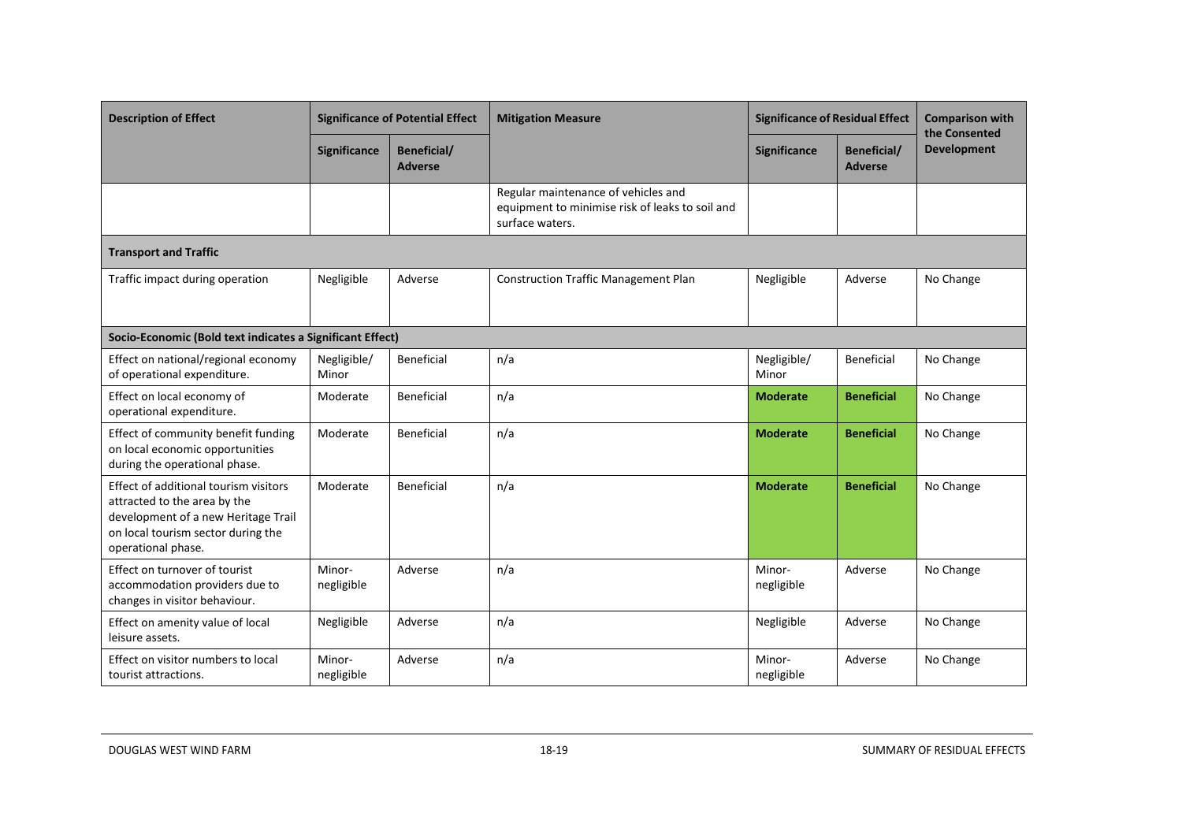| <b>Description of Effect</b>                                                                                                                                             |                      | <b>Significance of Potential Effect</b> | <b>Mitigation Measure</b>                                                                                 | <b>Significance of Residual Effect</b> |                                      | <b>Comparison with</b><br>the Consented |
|--------------------------------------------------------------------------------------------------------------------------------------------------------------------------|----------------------|-----------------------------------------|-----------------------------------------------------------------------------------------------------------|----------------------------------------|--------------------------------------|-----------------------------------------|
|                                                                                                                                                                          | Significance         | Beneficial/<br><b>Adverse</b>           |                                                                                                           | Significance                           | <b>Beneficial/</b><br><b>Adverse</b> | <b>Development</b>                      |
|                                                                                                                                                                          |                      |                                         | Regular maintenance of vehicles and<br>equipment to minimise risk of leaks to soil and<br>surface waters. |                                        |                                      |                                         |
| <b>Transport and Traffic</b>                                                                                                                                             |                      |                                         |                                                                                                           |                                        |                                      |                                         |
| Traffic impact during operation                                                                                                                                          | Negligible           | Adverse                                 | <b>Construction Traffic Management Plan</b>                                                               | Negligible                             | Adverse                              | No Change                               |
| Socio-Economic (Bold text indicates a Significant Effect)                                                                                                                |                      |                                         |                                                                                                           |                                        |                                      |                                         |
| Effect on national/regional economy<br>of operational expenditure.                                                                                                       | Negligible/<br>Minor | Beneficial                              | n/a                                                                                                       | Negligible/<br>Minor                   | Beneficial                           | No Change                               |
| Effect on local economy of<br>operational expenditure.                                                                                                                   | Moderate             | Beneficial                              | n/a                                                                                                       | <b>Moderate</b>                        | <b>Beneficial</b>                    | No Change                               |
| Effect of community benefit funding<br>on local economic opportunities<br>during the operational phase.                                                                  | Moderate             | Beneficial                              | n/a                                                                                                       | <b>Moderate</b>                        | <b>Beneficial</b>                    | No Change                               |
| Effect of additional tourism visitors<br>attracted to the area by the<br>development of a new Heritage Trail<br>on local tourism sector during the<br>operational phase. | Moderate             | Beneficial                              | n/a                                                                                                       | <b>Moderate</b>                        | <b>Beneficial</b>                    | No Change                               |
| Effect on turnover of tourist<br>accommodation providers due to<br>changes in visitor behaviour.                                                                         | Minor-<br>negligible | Adverse                                 | n/a                                                                                                       | Minor-<br>negligible                   | Adverse                              | No Change                               |
| Effect on amenity value of local<br>leisure assets.                                                                                                                      | Negligible           | Adverse                                 | n/a                                                                                                       | Negligible                             | Adverse                              | No Change                               |
| Effect on visitor numbers to local<br>tourist attractions.                                                                                                               | Minor-<br>negligible | Adverse                                 | n/a                                                                                                       | Minor-<br>negligible                   | Adverse                              | No Change                               |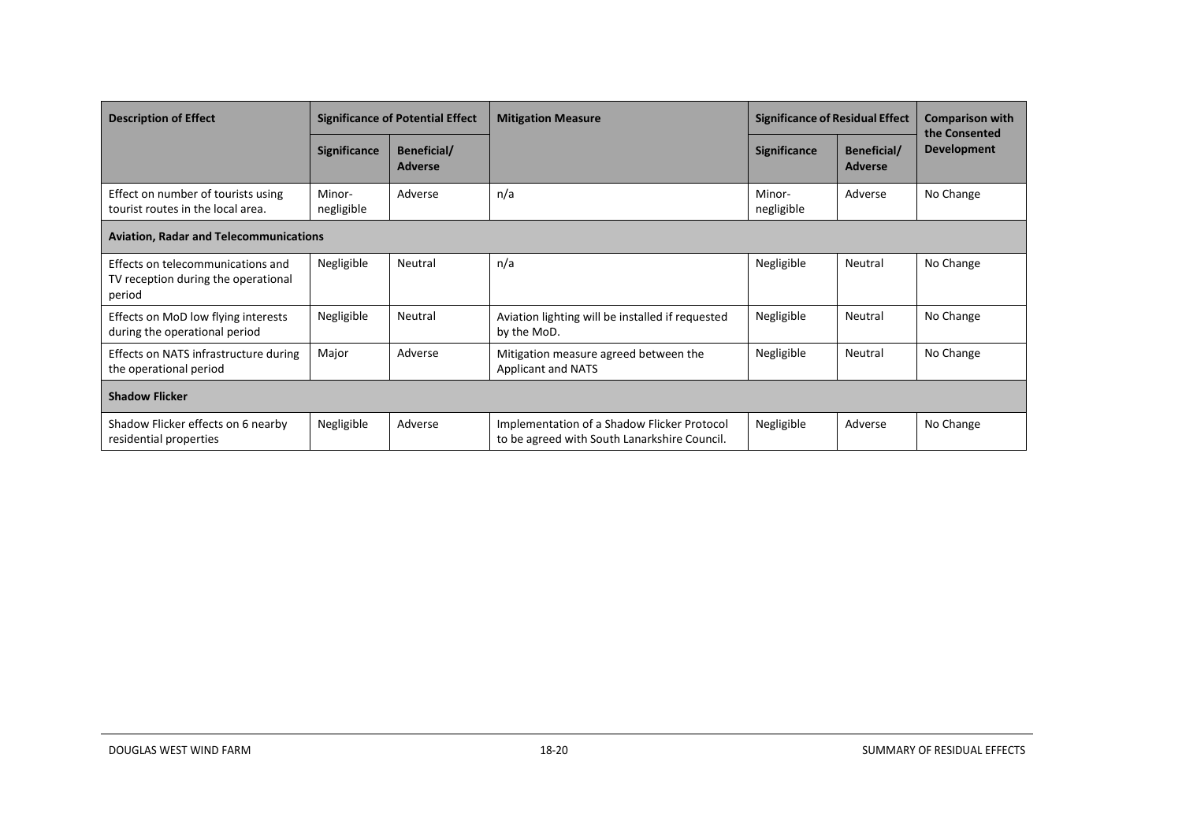| <b>Description of Effect</b>                                                       | <b>Significance of Potential Effect</b>       |                               | <b>Mitigation Measure</b>                                                                   | <b>Significance of Residual Effect</b> |                               | <b>Comparison with</b><br>the Consented |  |  |
|------------------------------------------------------------------------------------|-----------------------------------------------|-------------------------------|---------------------------------------------------------------------------------------------|----------------------------------------|-------------------------------|-----------------------------------------|--|--|
|                                                                                    | <b>Significance</b>                           | Beneficial/<br><b>Adverse</b> |                                                                                             | <b>Significance</b>                    | Beneficial/<br><b>Adverse</b> | <b>Development</b>                      |  |  |
| Effect on number of tourists using<br>tourist routes in the local area.            | Minor-<br>negligible                          | Adverse                       | n/a                                                                                         | Minor-<br>negligible                   | Adverse                       | No Change                               |  |  |
|                                                                                    | <b>Aviation, Radar and Telecommunications</b> |                               |                                                                                             |                                        |                               |                                         |  |  |
| Effects on telecommunications and<br>TV reception during the operational<br>period | Negligible                                    | Neutral                       | n/a                                                                                         | Negligible                             | Neutral                       | No Change                               |  |  |
| Effects on MoD low flying interests<br>during the operational period               | Negligible                                    | Neutral                       | Aviation lighting will be installed if requested<br>by the MoD.                             | Negligible                             | Neutral                       | No Change                               |  |  |
| Effects on NATS infrastructure during<br>the operational period                    | Major                                         | Adverse                       | Mitigation measure agreed between the<br><b>Applicant and NATS</b>                          | Negligible                             | Neutral                       | No Change                               |  |  |
| <b>Shadow Flicker</b>                                                              |                                               |                               |                                                                                             |                                        |                               |                                         |  |  |
| Shadow Flicker effects on 6 nearby<br>residential properties                       | Negligible                                    | Adverse                       | Implementation of a Shadow Flicker Protocol<br>to be agreed with South Lanarkshire Council. | Negligible                             | Adverse                       | No Change                               |  |  |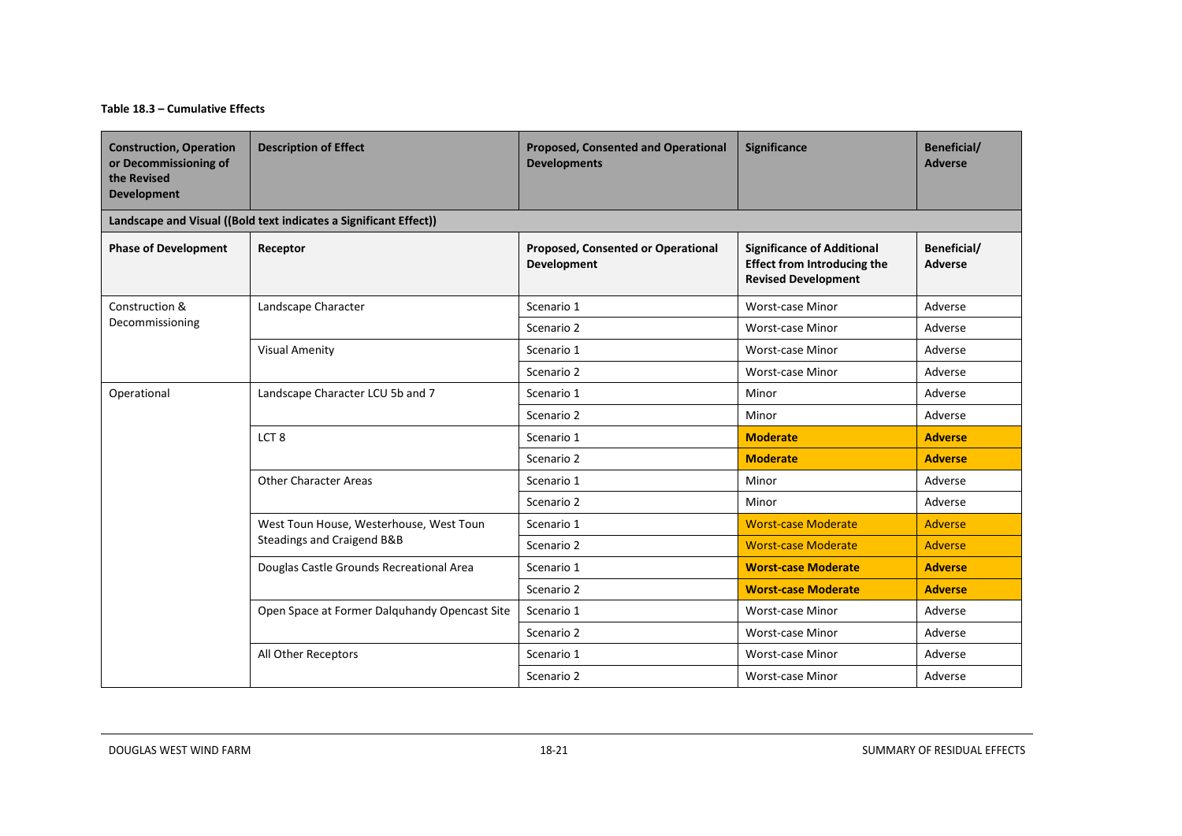#### **Table 18.3 – Cumulative Effects**

<span id="page-22-0"></span>

| <b>Construction, Operation</b><br>or Decommissioning of<br>the Revised<br><b>Development</b> | <b>Description of Effect</b>                                      | <b>Proposed, Consented and Operational</b><br><b>Developments</b> | <b>Significance</b>                                                                                   | Beneficial/<br><b>Adverse</b> |
|----------------------------------------------------------------------------------------------|-------------------------------------------------------------------|-------------------------------------------------------------------|-------------------------------------------------------------------------------------------------------|-------------------------------|
|                                                                                              | Landscape and Visual ((Bold text indicates a Significant Effect)) |                                                                   |                                                                                                       |                               |
| <b>Phase of Development</b>                                                                  | Receptor                                                          | Proposed, Consented or Operational<br>Development                 | <b>Significance of Additional</b><br><b>Effect from Introducing the</b><br><b>Revised Development</b> | Beneficial/<br><b>Adverse</b> |
| Construction &                                                                               | Landscape Character                                               | Scenario 1                                                        | Worst-case Minor                                                                                      | Adverse                       |
| Decommissioning                                                                              |                                                                   | Scenario 2                                                        | <b>Worst-case Minor</b>                                                                               | Adverse                       |
|                                                                                              | <b>Visual Amenity</b>                                             | Scenario 1                                                        | <b>Worst-case Minor</b>                                                                               | Adverse                       |
|                                                                                              |                                                                   | Scenario 2                                                        | <b>Worst-case Minor</b>                                                                               | Adverse                       |
| Operational                                                                                  | Landscape Character LCU 5b and 7                                  | Scenario 1                                                        | Minor                                                                                                 | Adverse                       |
|                                                                                              |                                                                   | Scenario 2                                                        | Minor                                                                                                 | Adverse                       |
|                                                                                              | LCT <sub>8</sub>                                                  | Scenario 1                                                        | <b>Moderate</b>                                                                                       | <b>Adverse</b>                |
|                                                                                              |                                                                   | Scenario 2                                                        | <b>Moderate</b>                                                                                       | <b>Adverse</b>                |
|                                                                                              | <b>Other Character Areas</b>                                      | Scenario 1                                                        | Minor                                                                                                 | Adverse                       |
|                                                                                              |                                                                   | Scenario 2                                                        | Minor                                                                                                 | Adverse                       |
|                                                                                              | West Toun House, Westerhouse, West Toun                           | Scenario 1                                                        | <b>Worst-case Moderate</b>                                                                            | <b>Adverse</b>                |
|                                                                                              | <b>Steadings and Craigend B&amp;B</b>                             | Scenario 2                                                        | <b>Worst-case Moderate</b>                                                                            | Adverse                       |
|                                                                                              | Douglas Castle Grounds Recreational Area                          | Scenario 1                                                        | <b>Worst-case Moderate</b>                                                                            | <b>Adverse</b>                |
|                                                                                              |                                                                   | Scenario 2                                                        | <b>Worst-case Moderate</b>                                                                            | <b>Adverse</b>                |
|                                                                                              | Open Space at Former Dalquhandy Opencast Site                     | Scenario 1                                                        | <b>Worst-case Minor</b>                                                                               | Adverse                       |
|                                                                                              |                                                                   | Scenario 2                                                        | Worst-case Minor                                                                                      | Adverse                       |
|                                                                                              | All Other Receptors                                               | Scenario 1                                                        | <b>Worst-case Minor</b>                                                                               | Adverse                       |
|                                                                                              |                                                                   | Scenario 2                                                        | Worst-case Minor                                                                                      | Adverse                       |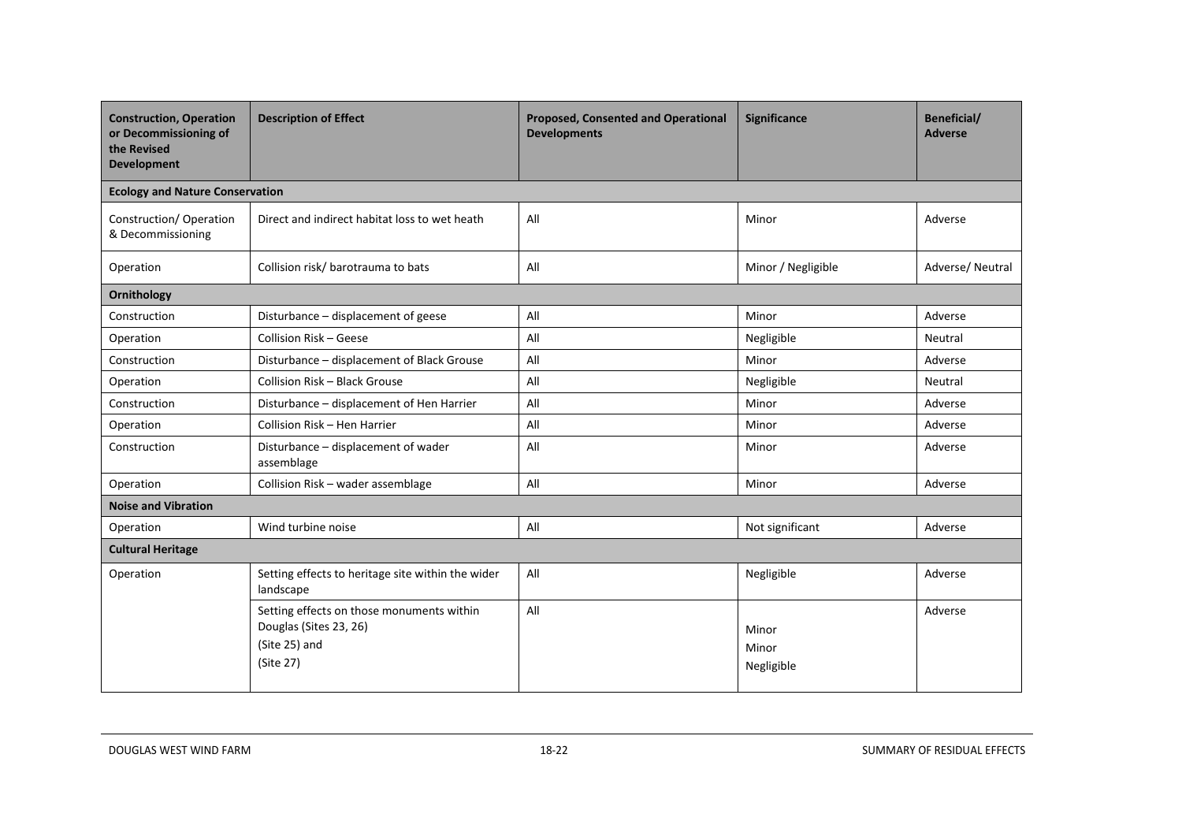| <b>Construction, Operation</b><br>or Decommissioning of<br>the Revised<br><b>Development</b> | <b>Description of Effect</b>                                                                      | <b>Proposed, Consented and Operational</b><br><b>Developments</b> | Significance                 | Beneficial/<br><b>Adverse</b> |
|----------------------------------------------------------------------------------------------|---------------------------------------------------------------------------------------------------|-------------------------------------------------------------------|------------------------------|-------------------------------|
| <b>Ecology and Nature Conservation</b>                                                       |                                                                                                   |                                                                   |                              |                               |
| Construction/ Operation<br>& Decommissioning                                                 | Direct and indirect habitat loss to wet heath                                                     | All                                                               | Minor                        | Adverse                       |
| Operation                                                                                    | Collision risk/ barotrauma to bats                                                                | All                                                               | Minor / Negligible           | Adverse/Neutral               |
| Ornithology                                                                                  |                                                                                                   |                                                                   |                              |                               |
| Construction                                                                                 | Disturbance - displacement of geese                                                               | All                                                               | Minor                        | Adverse                       |
| Operation                                                                                    | Collision Risk - Geese                                                                            | All                                                               | Negligible                   | Neutral                       |
| Construction                                                                                 | Disturbance - displacement of Black Grouse                                                        | All                                                               | Minor                        | Adverse                       |
| Operation                                                                                    | Collision Risk - Black Grouse                                                                     | All                                                               | Negligible                   | Neutral                       |
| Construction                                                                                 | Disturbance - displacement of Hen Harrier                                                         | All                                                               | Minor                        | Adverse                       |
| Operation                                                                                    | Collision Risk - Hen Harrier                                                                      | All                                                               | Minor                        | Adverse                       |
| Construction                                                                                 | Disturbance - displacement of wader<br>assemblage                                                 | All                                                               | Minor                        | Adverse                       |
| Operation                                                                                    | Collision Risk - wader assemblage                                                                 | All                                                               | Minor                        | Adverse                       |
| <b>Noise and Vibration</b>                                                                   |                                                                                                   |                                                                   |                              |                               |
| Operation                                                                                    | Wind turbine noise                                                                                | All                                                               | Not significant              | Adverse                       |
| <b>Cultural Heritage</b>                                                                     |                                                                                                   |                                                                   |                              |                               |
| Operation                                                                                    | Setting effects to heritage site within the wider<br>landscape                                    | All                                                               | Negligible                   | Adverse                       |
|                                                                                              | Setting effects on those monuments within<br>Douglas (Sites 23, 26)<br>(Site 25) and<br>(Site 27) | All                                                               | Minor<br>Minor<br>Negligible | Adverse                       |